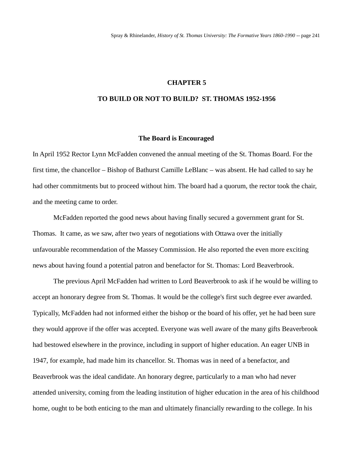### **CHAPTER 5**

## **TO BUILD OR NOT TO BUILD? ST. THOMAS 1952-1956**

#### **The Board is Encouraged**

In April 1952 Rector Lynn McFadden convened the annual meeting of the St. Thomas Board. For the first time, the chancellor – Bishop of Bathurst Camille LeBlanc – was absent. He had called to say he had other commitments but to proceed without him. The board had a quorum, the rector took the chair, and the meeting came to order.

McFadden reported the good news about having finally secured a government grant for St. Thomas. It came, as we saw, after two years of negotiations with Ottawa over the initially unfavourable recommendation of the Massey Commission. He also reported the even more exciting news about having found a potential patron and benefactor for St. Thomas: Lord Beaverbrook.

The previous April McFadden had written to Lord Beaverbrook to ask if he would be willing to accept an honorary degree from St. Thomas. It would be the college's first such degree ever awarded. Typically, McFadden had not informed either the bishop or the board of his offer, yet he had been sure they would approve if the offer was accepted. Everyone was well aware of the many gifts Beaverbrook had bestowed elsewhere in the province, including in support of higher education. An eager UNB in 1947, for example, had made him its chancellor. St. Thomas was in need of a benefactor, and Beaverbrook was the ideal candidate. An honorary degree, particularly to a man who had never attended university, coming from the leading institution of higher education in the area of his childhood home, ought to be both enticing to the man and ultimately financially rewarding to the college. In his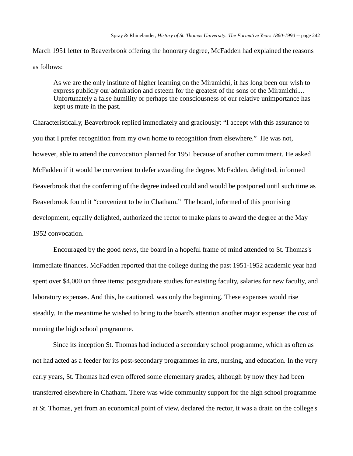March 1951 letter to Beaverbrook offering the honorary degree, McFadden had explained the reasons as follows:

As we are the only institute of higher learning on the Miramichi, it has long been our wish to express publicly our admiration and esteem for the greatest of the sons of the Miramichi.... Unfortunately a false humility or perhaps the consciousness of our relative unimportance has kept us mute in the past.

Characteristically, Beaverbrook replied immediately and graciously: "I accept with this assurance to you that I prefer recognition from my own home to recognition from elsewhere." He was not, however, able to attend the convocation planned for 1951 because of another commitment. He asked McFadden if it would be convenient to defer awarding the degree. McFadden, delighted, informed Beaverbrook that the conferring of the degree indeed could and would be postponed until such time as Beaverbrook found it "convenient to be in Chatham." The board, informed of this promising development, equally delighted, authorized the rector to make plans to award the degree at the May 1952 convocation.

Encouraged by the good news, the board in a hopeful frame of mind attended to St. Thomas's immediate finances. McFadden reported that the college during the past 1951-1952 academic year had spent over \$4,000 on three items: postgraduate studies for existing faculty, salaries for new faculty, and laboratory expenses. And this, he cautioned, was only the beginning. These expenses would rise steadily. In the meantime he wished to bring to the board's attention another major expense: the cost of running the high school programme.

Since its inception St. Thomas had included a secondary school programme, which as often as not had acted as a feeder for its post-secondary programmes in arts, nursing, and education. In the very early years, St. Thomas had even offered some elementary grades, although by now they had been transferred elsewhere in Chatham. There was wide community support for the high school programme at St. Thomas, yet from an economical point of view, declared the rector, it was a drain on the college's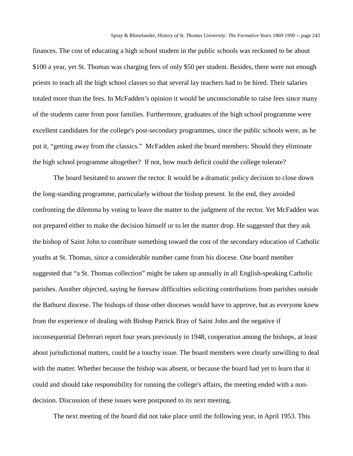finances. The cost of educating a high school student in the public schools was reckoned to be about \$100 a year, yet St. Thomas was charging fees of only \$50 per student. Besides, there were not enough priests to teach all the high school classes so that several lay teachers had to be hired. Their salaries totaled more than the fees. In McFadden's opinion it would be unconscionable to raise fees since many of the students came from poor families. Furthermore, graduates of the high school programme were excellent candidates for the college's post-secondary programmes, since the public schools were, as he put it, "getting away from the classics." McFadden asked the board members: Should they eliminate the high school programme altogether? If not, how much deficit could the college tolerate?

The board hesitated to answer the rector. It would be a dramatic policy decision to close down the long-standing programme, particularly without the bishop present. In the end, they avoided confronting the dilemma by voting to leave the matter to the judgment of the rector. Yet McFadden was not prepared either to make the decision himself or to let the matter drop. He suggested that they ask the bishop of Saint John to contribute something toward the cost of the secondary education of Catholic youths at St. Thomas, since a considerable number came from his diocese. One board member suggested that "a St. Thomas collection" might be taken up annually in all English-speaking Catholic parishes. Another objected, saying he foresaw difficulties soliciting contributions from parishes outside the Bathurst diocese. The bishops of those other dioceses would have to approve, but as everyone knew from the experience of dealing with Bishop Patrick Bray of Saint John and the negative if inconsequential Deferrari report four years previously in 1948, cooperation among the bishops, at least about jurisdictional matters, could be a touchy issue. The board members were clearly unwilling to deal with the matter. Whether because the bishop was absent, or because the board had yet to learn that it could and should take responsibility for running the college's affairs, the meeting ended with a nondecision. Discussion of these issues were postponed to its next meeting.

The next meeting of the board did not take place until the following year, in April 1953. This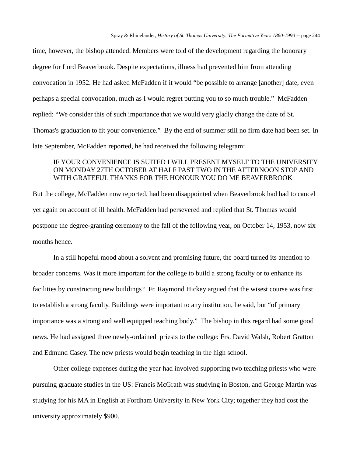time, however, the bishop attended. Members were told of the development regarding the honorary degree for Lord Beaverbrook. Despite expectations, illness had prevented him from attending convocation in 1952. He had asked McFadden if it would "be possible to arrange [another] date, even perhaps a special convocation, much as I would regret putting you to so much trouble." McFadden replied: "We consider this of such importance that we would very gladly change the date of St. Thomas's graduation to fit your convenience." By the end of summer still no firm date had been set. In late September, McFadden reported, he had received the following telegram:

## IF YOUR CONVENIENCE IS SUITED I WILL PRESENT MYSELF TO THE UNIVERSITY ON MONDAY 27TH OCTOBER AT HALF PAST TWO IN THE AFTERNOON STOP AND WITH GRATEFUL THANKS FOR THE HONOUR YOU DO ME BEAVERBROOK

But the college, McFadden now reported, had been disappointed when Beaverbrook had had to cancel yet again on account of ill health. McFadden had persevered and replied that St. Thomas would postpone the degree-granting ceremony to the fall of the following year, on October 14, 1953, now six months hence.

In a still hopeful mood about a solvent and promising future, the board turned its attention to broader concerns. Was it more important for the college to build a strong faculty or to enhance its facilities by constructing new buildings? Fr. Raymond Hickey argued that the wisest course was first to establish a strong faculty. Buildings were important to any institution, he said, but "of primary importance was a strong and well equipped teaching body." The bishop in this regard had some good news. He had assigned three newly-ordained priests to the college: Frs. David Walsh, Robert Gratton and Edmund Casey. The new priests would begin teaching in the high school.

Other college expenses during the year had involved supporting two teaching priests who were pursuing graduate studies in the US: Francis McGrath was studying in Boston, and George Martin was studying for his MA in English at Fordham University in New York City; together they had cost the university approximately \$900.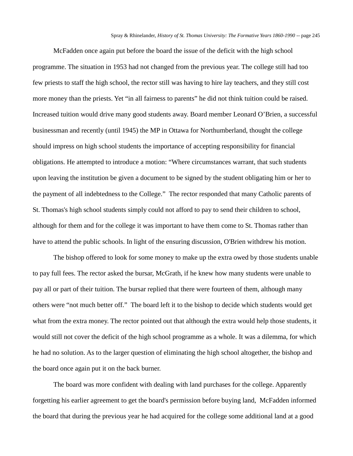McFadden once again put before the board the issue of the deficit with the high school programme. The situation in 1953 had not changed from the previous year. The college still had too few priests to staff the high school, the rector still was having to hire lay teachers, and they still cost more money than the priests. Yet "in all fairness to parents" he did not think tuition could be raised. Increased tuition would drive many good students away. Board member Leonard O'Brien, a successful businessman and recently (until 1945) the MP in Ottawa for Northumberland, thought the college should impress on high school students the importance of accepting responsibility for financial obligations. He attempted to introduce a motion: "Where circumstances warrant, that such students upon leaving the institution be given a document to be signed by the student obligating him or her to the payment of all indebtedness to the College." The rector responded that many Catholic parents of St. Thomas's high school students simply could not afford to pay to send their children to school, although for them and for the college it was important to have them come to St. Thomas rather than have to attend the public schools. In light of the ensuring discussion, O'Brien withdrew his motion.

The bishop offered to look for some money to make up the extra owed by those students unable to pay full fees. The rector asked the bursar, McGrath, if he knew how many students were unable to pay all or part of their tuition. The bursar replied that there were fourteen of them, although many others were "not much better off." The board left it to the bishop to decide which students would get what from the extra money. The rector pointed out that although the extra would help those students, it would still not cover the deficit of the high school programme as a whole. It was a dilemma, for which he had no solution. As to the larger question of eliminating the high school altogether, the bishop and the board once again put it on the back burner.

The board was more confident with dealing with land purchases for the college. Apparently forgetting his earlier agreement to get the board's permission before buying land, McFadden informed the board that during the previous year he had acquired for the college some additional land at a good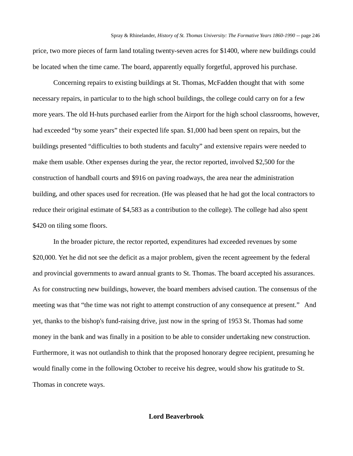price, two more pieces of farm land totaling twenty-seven acres for \$1400, where new buildings could be located when the time came. The board, apparently equally forgetful, approved his purchase.

Concerning repairs to existing buildings at St. Thomas, McFadden thought that with some necessary repairs, in particular to to the high school buildings, the college could carry on for a few more years. The old H-huts purchased earlier from the Airport for the high school classrooms, however, had exceeded "by some years" their expected life span. \$1,000 had been spent on repairs, but the buildings presented "difficulties to both students and faculty" and extensive repairs were needed to make them usable. Other expenses during the year, the rector reported, involved \$2,500 for the construction of handball courts and \$916 on paving roadways, the area near the administration building, and other spaces used for recreation. (He was pleased that he had got the local contractors to reduce their original estimate of \$4,583 as a contribution to the college). The college had also spent \$420 on tiling some floors.

In the broader picture, the rector reported, expenditures had exceeded revenues by some \$20,000. Yet he did not see the deficit as a major problem, given the recent agreement by the federal and provincial governments to award annual grants to St. Thomas. The board accepted his assurances. As for constructing new buildings, however, the board members advised caution. The consensus of the meeting was that "the time was not right to attempt construction of any consequence at present." And yet, thanks to the bishop's fund-raising drive, just now in the spring of 1953 St. Thomas had some money in the bank and was finally in a position to be able to consider undertaking new construction. Furthermore, it was not outlandish to think that the proposed honorary degree recipient, presuming he would finally come in the following October to receive his degree, would show his gratitude to St. Thomas in concrete ways.

### **Lord Beaverbrook**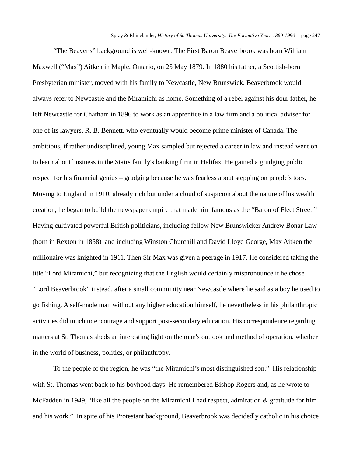"The Beaver's" background is well-known. The First Baron Beaverbrook was born William Maxwell ("Max") Aitken in Maple, Ontario, on 25 May 1879. In 1880 his father, a Scottish-born Presbyterian minister, moved with his family to Newcastle, New Brunswick. Beaverbrook would always refer to Newcastle and the Miramichi as home. Something of a rebel against his dour father, he left Newcastle for Chatham in 1896 to work as an apprentice in a law firm and a political adviser for one of its lawyers, R. B. Bennett, who eventually would become prime minister of Canada. The ambitious, if rather undisciplined, young Max sampled but rejected a career in law and instead went on to learn about business in the Stairs family's banking firm in Halifax. He gained a grudging public respect for his financial genius – grudging because he was fearless about stepping on people's toes. Moving to England in 1910, already rich but under a cloud of suspicion about the nature of his wealth creation, he began to build the newspaper empire that made him famous as the "Baron of Fleet Street." Having cultivated powerful British politicians, including fellow New Brunswicker Andrew Bonar Law (born in Rexton in 1858) and including Winston Churchill and David Lloyd George, Max Aitken the millionaire was knighted in 1911. Then Sir Max was given a peerage in 1917. He considered taking the title "Lord Miramichi," but recognizing that the English would certainly mispronounce it he chose "Lord Beaverbrook" instead, after a small community near Newcastle where he said as a boy he used to go fishing. A self-made man without any higher education himself, he nevertheless in his philanthropic activities did much to encourage and support post-secondary education. His correspondence regarding matters at St. Thomas sheds an interesting light on the man's outlook and method of operation, whether in the world of business, politics, or philanthropy.

To the people of the region, he was "the Miramichi's most distinguished son." His relationship with St. Thomas went back to his boyhood days. He remembered Bishop Rogers and, as he wrote to McFadden in 1949, "like all the people on the Miramichi I had respect, admiration & gratitude for him and his work." In spite of his Protestant background, Beaverbrook was decidedly catholic in his choice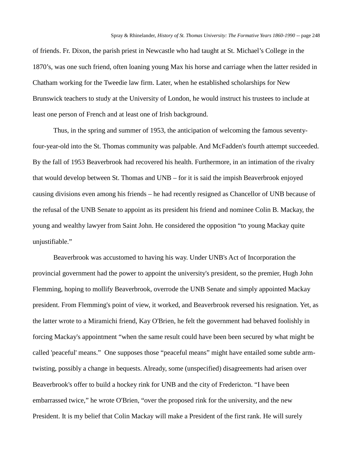of friends. Fr. Dixon, the parish priest in Newcastle who had taught at St. Michael's College in the 1870's, was one such friend, often loaning young Max his horse and carriage when the latter resided in Chatham working for the Tweedie law firm. Later, when he established scholarships for New Brunswick teachers to study at the University of London, he would instruct his trustees to include at least one person of French and at least one of Irish background.

Thus, in the spring and summer of 1953, the anticipation of welcoming the famous seventyfour-year-old into the St. Thomas community was palpable. And McFadden's fourth attempt succeeded. By the fall of 1953 Beaverbrook had recovered his health. Furthermore, in an intimation of the rivalry that would develop between St. Thomas and UNB – for it is said the impish Beaverbrook enjoyed causing divisions even among his friends – he had recently resigned as Chancellor of UNB because of the refusal of the UNB Senate to appoint as its president his friend and nominee Colin B. Mackay, the young and wealthy lawyer from Saint John. He considered the opposition "to young Mackay quite unjustifiable."

Beaverbrook was accustomed to having his way. Under UNB's Act of Incorporation the provincial government had the power to appoint the university's president, so the premier, Hugh John Flemming, hoping to mollify Beaverbrook, overrode the UNB Senate and simply appointed Mackay president. From Flemming's point of view, it worked, and Beaverbrook reversed his resignation. Yet, as the latter wrote to a Miramichi friend, Kay O'Brien, he felt the government had behaved foolishly in forcing Mackay's appointment "when the same result could have been been secured by what might be called 'peaceful' means." One supposes those "peaceful means" might have entailed some subtle armtwisting, possibly a change in bequests. Already, some (unspecified) disagreements had arisen over Beaverbrook's offer to build a hockey rink for UNB and the city of Fredericton. "I have been embarrassed twice," he wrote O'Brien, "over the proposed rink for the university, and the new President. It is my belief that Colin Mackay will make a President of the first rank. He will surely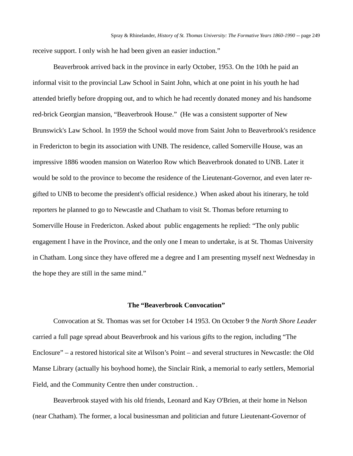receive support. I only wish he had been given an easier induction."

Beaverbrook arrived back in the province in early October, 1953. On the 10th he paid an informal visit to the provincial Law School in Saint John, which at one point in his youth he had attended briefly before dropping out, and to which he had recently donated money and his handsome red-brick Georgian mansion, "Beaverbrook House." (He was a consistent supporter of New Brunswick's Law School. In 1959 the School would move from Saint John to Beaverbrook's residence in Fredericton to begin its association with UNB. The residence, called Somerville House, was an impressive 1886 wooden mansion on Waterloo Row which Beaverbrook donated to UNB. Later it would be sold to the province to become the residence of the Lieutenant-Governor, and even later regifted to UNB to become the president's official residence.) When asked about his itinerary, he told reporters he planned to go to Newcastle and Chatham to visit St. Thomas before returning to Somerville House in Fredericton. Asked about public engagements he replied: "The only public engagement I have in the Province, and the only one I mean to undertake, is at St. Thomas University in Chatham. Long since they have offered me a degree and I am presenting myself next Wednesday in the hope they are still in the same mind."

## **The "Beaverbrook Convocation"**

Convocation at St. Thomas was set for October 14 1953. On October 9 the *North Shore Leader*  carried a full page spread about Beaverbrook and his various gifts to the region, including "The Enclosure" – a restored historical site at Wilson's Point – and several structures in Newcastle: the Old Manse Library (actually his boyhood home), the Sinclair Rink, a memorial to early settlers, Memorial Field, and the Community Centre then under construction. .

Beaverbrook stayed with his old friends, Leonard and Kay O'Brien, at their home in Nelson (near Chatham). The former, a local businessman and politician and future Lieutenant-Governor of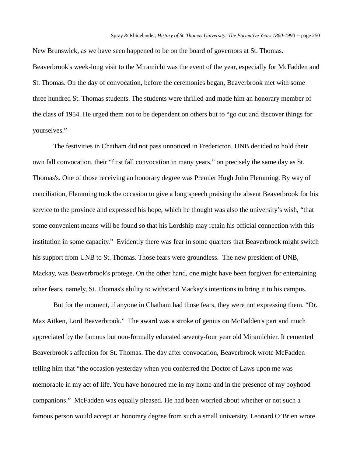New Brunswick, as we have seen happened to be on the board of governors at St. Thomas. Beaverbrook's week-long visit to the Miramichi was the event of the year, especially for McFadden and St. Thomas. On the day of convocation, before the ceremonies began, Beaverbrook met with some three hundred St. Thomas students. The students were thrilled and made him an honorary member of the class of 1954. He urged them not to be dependent on others but to "go out and discover things for yourselves."

The festivities in Chatham did not pass unnoticed in Fredericton. UNB decided to hold their own fall convocation, their "first fall convocation in many years," on precisely the same day as St. Thomas's. One of those receiving an honorary degree was Premier Hugh John Flemming. By way of conciliation, Flemming took the occasion to give a long speech praising the absent Beaverbrook for his service to the province and expressed his hope, which he thought was also the university's wish, "that some convenient means will be found so that his Lordship may retain his official connection with this institution in some capacity." Evidently there was fear in some quarters that Beaverbrook might switch his support from UNB to St. Thomas. Those fears were groundless. The new president of UNB, Mackay, was Beaverbrook's protege. On the other hand, one might have been forgiven for entertaining other fears, namely, St. Thomas's ability to withstand Mackay's intentions to bring it to his campus.

But for the moment, if anyone in Chatham had those fears, they were not expressing them. "Dr. Max Aitken, Lord Beaverbrook." The award was a stroke of genius on McFadden's part and much appreciated by the famous but non-formally educated seventy-four year old Miramichier. It cemented Beaverbrook's affection for St. Thomas. The day after convocation, Beaverbrook wrote McFadden telling him that "the occasion yesterday when you conferred the Doctor of Laws upon me was memorable in my act of life. You have honoured me in my home and in the presence of my boyhood companions." McFadden was equally pleased. He had been worried about whether or not such a famous person would accept an honorary degree from such a small university. Leonard O'Brien wrote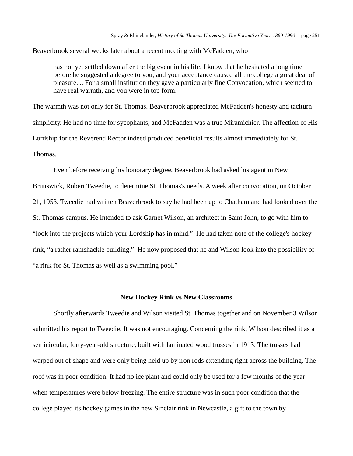Beaverbrook several weeks later about a recent meeting with McFadden, who

has not yet settled down after the big event in his life. I know that he hesitated a long time before he suggested a degree to you, and your acceptance caused all the college a great deal of pleasure.... For a small institution they gave a particularly fine Convocation, which seemed to have real warmth, and you were in top form.

The warmth was not only for St. Thomas. Beaverbrook appreciated McFadden's honesty and taciturn simplicity. He had no time for sycophants, and McFadden was a true Miramichier. The affection of His Lordship for the Reverend Rector indeed produced beneficial results almost immediately for St. Thomas.

Even before receiving his honorary degree, Beaverbrook had asked his agent in New Brunswick, Robert Tweedie, to determine St. Thomas's needs. A week after convocation, on October 21, 1953, Tweedie had written Beaverbrook to say he had been up to Chatham and had looked over the St. Thomas campus. He intended to ask Garnet Wilson, an architect in Saint John, to go with him to "look into the projects which your Lordship has in mind." He had taken note of the college's hockey rink, "a rather ramshackle building." He now proposed that he and Wilson look into the possibility of "a rink for St. Thomas as well as a swimming pool."

### **New Hockey Rink vs New Classrooms**

Shortly afterwards Tweedie and Wilson visited St. Thomas together and on November 3 Wilson submitted his report to Tweedie. It was not encouraging. Concerning the rink, Wilson described it as a semicircular, forty-year-old structure, built with laminated wood trusses in 1913. The trusses had warped out of shape and were only being held up by iron rods extending right across the building. The roof was in poor condition. It had no ice plant and could only be used for a few months of the year when temperatures were below freezing. The entire structure was in such poor condition that the college played its hockey games in the new Sinclair rink in Newcastle, a gift to the town by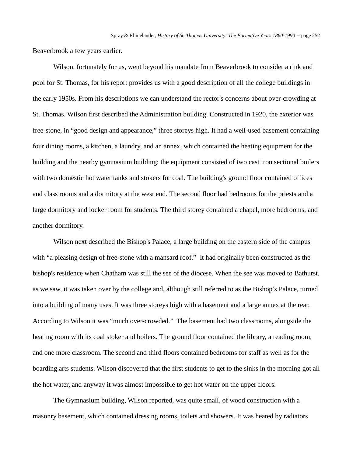Beaverbrook a few years earlier.

Wilson, fortunately for us, went beyond his mandate from Beaverbrook to consider a rink and pool for St. Thomas, for his report provides us with a good description of all the college buildings in the early 1950s. From his descriptions we can understand the rector's concerns about over-crowding at St. Thomas. Wilson first described the Administration building. Constructed in 1920, the exterior was free-stone, in "good design and appearance," three storeys high. It had a well-used basement containing four dining rooms, a kitchen, a laundry, and an annex, which contained the heating equipment for the building and the nearby gymnasium building; the equipment consisted of two cast iron sectional boilers with two domestic hot water tanks and stokers for coal. The building's ground floor contained offices and class rooms and a dormitory at the west end. The second floor had bedrooms for the priests and a large dormitory and locker room for students. The third storey contained a chapel, more bedrooms, and another dormitory.

Wilson next described the Bishop's Palace, a large building on the eastern side of the campus with "a pleasing design of free-stone with a mansard roof." It had originally been constructed as the bishop's residence when Chatham was still the see of the diocese. When the see was moved to Bathurst, as we saw, it was taken over by the college and, although still referred to as the Bishop's Palace, turned into a building of many uses. It was three storeys high with a basement and a large annex at the rear. According to Wilson it was "much over-crowded." The basement had two classrooms, alongside the heating room with its coal stoker and boilers. The ground floor contained the library, a reading room, and one more classroom. The second and third floors contained bedrooms for staff as well as for the boarding arts students. Wilson discovered that the first students to get to the sinks in the morning got all the hot water, and anyway it was almost impossible to get hot water on the upper floors.

The Gymnasium building, Wilson reported, was quite small, of wood construction with a masonry basement, which contained dressing rooms, toilets and showers. It was heated by radiators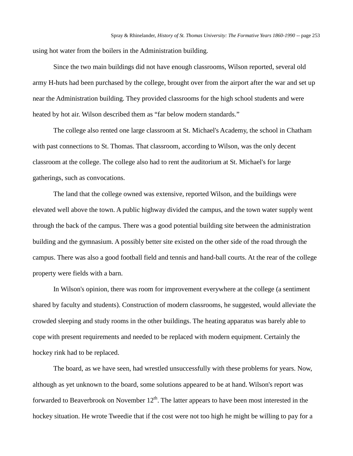using hot water from the boilers in the Administration building.

Since the two main buildings did not have enough classrooms, Wilson reported, several old army H-huts had been purchased by the college, brought over from the airport after the war and set up near the Administration building. They provided classrooms for the high school students and were heated by hot air. Wilson described them as "far below modern standards."

The college also rented one large classroom at St. Michael's Academy, the school in Chatham with past connections to St. Thomas. That classroom, according to Wilson, was the only decent classroom at the college. The college also had to rent the auditorium at St. Michael's for large gatherings, such as convocations.

The land that the college owned was extensive, reported Wilson, and the buildings were elevated well above the town. A public highway divided the campus, and the town water supply went through the back of the campus. There was a good potential building site between the administration building and the gymnasium. A possibly better site existed on the other side of the road through the campus. There was also a good football field and tennis and hand-ball courts. At the rear of the college property were fields with a barn.

In Wilson's opinion, there was room for improvement everywhere at the college (a sentiment shared by faculty and students). Construction of modern classrooms, he suggested, would alleviate the crowded sleeping and study rooms in the other buildings. The heating apparatus was barely able to cope with present requirements and needed to be replaced with modern equipment. Certainly the hockey rink had to be replaced.

The board, as we have seen, had wrestled unsuccessfully with these problems for years. Now, although as yet unknown to the board, some solutions appeared to be at hand. Wilson's report was forwarded to Beaverbrook on November  $12<sup>th</sup>$ . The latter appears to have been most interested in the hockey situation. He wrote Tweedie that if the cost were not too high he might be willing to pay for a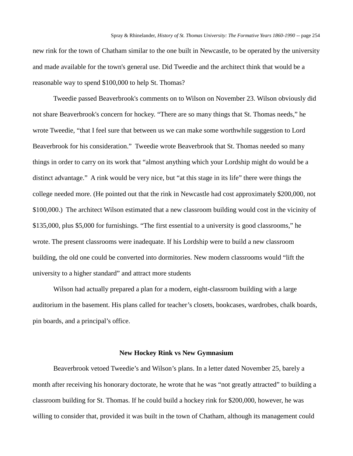new rink for the town of Chatham similar to the one built in Newcastle, to be operated by the university and made available for the town's general use. Did Tweedie and the architect think that would be a reasonable way to spend \$100,000 to help St. Thomas?

Tweedie passed Beaverbrook's comments on to Wilson on November 23. Wilson obviously did not share Beaverbrook's concern for hockey. "There are so many things that St. Thomas needs," he wrote Tweedie, "that I feel sure that between us we can make some worthwhile suggestion to Lord Beaverbrook for his consideration." Tweedie wrote Beaverbrook that St. Thomas needed so many things in order to carry on its work that "almost anything which your Lordship might do would be a distinct advantage." A rink would be very nice, but "at this stage in its life" there were things the college needed more. (He pointed out that the rink in Newcastle had cost approximately \$200,000, not \$100,000.) The architect Wilson estimated that a new classroom building would cost in the vicinity of \$135,000, plus \$5,000 for furnishings. "The first essential to a university is good classrooms," he wrote. The present classrooms were inadequate. If his Lordship were to build a new classroom building, the old one could be converted into dormitories. New modern classrooms would "lift the university to a higher standard" and attract more students

Wilson had actually prepared a plan for a modern, eight-classroom building with a large auditorium in the basement. His plans called for teacher's closets, bookcases, wardrobes, chalk boards, pin boards, and a principal's office.

### **New Hockey Rink vs New Gymnasium**

Beaverbrook vetoed Tweedie's and Wilson's plans. In a letter dated November 25, barely a month after receiving his honorary doctorate, he wrote that he was "not greatly attracted" to building a classroom building for St. Thomas. If he could build a hockey rink for \$200,000, however, he was willing to consider that, provided it was built in the town of Chatham, although its management could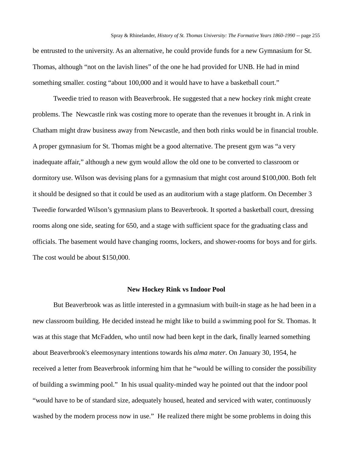be entrusted to the university. As an alternative, he could provide funds for a new Gymnasium for St. Thomas, although "not on the lavish lines" of the one he had provided for UNB. He had in mind something smaller. costing "about 100,000 and it would have to have a basketball court."

Tweedie tried to reason with Beaverbrook. He suggested that a new hockey rink might create problems. The Newcastle rink was costing more to operate than the revenues it brought in. A rink in Chatham might draw business away from Newcastle, and then both rinks would be in financial trouble. A proper gymnasium for St. Thomas might be a good alternative. The present gym was "a very inadequate affair," although a new gym would allow the old one to be converted to classroom or dormitory use. Wilson was devising plans for a gymnasium that might cost around \$100,000. Both felt it should be designed so that it could be used as an auditorium with a stage platform. On December 3 Tweedie forwarded Wilson's gymnasium plans to Beaverbrook. It sported a basketball court, dressing rooms along one side, seating for 650, and a stage with sufficient space for the graduating class and officials. The basement would have changing rooms, lockers, and shower-rooms for boys and for girls. The cost would be about \$150,000.

### **New Hockey Rink vs Indoor Pool**

But Beaverbrook was as little interested in a gymnasium with built-in stage as he had been in a new classroom building. He decided instead he might like to build a swimming pool for St. Thomas. It was at this stage that McFadden, who until now had been kept in the dark, finally learned something about Beaverbrook's eleemosynary intentions towards his *alma mater*. On January 30, 1954, he received a letter from Beaverbrook informing him that he "would be willing to consider the possibility of building a swimming pool." In his usual quality-minded way he pointed out that the indoor pool "would have to be of standard size, adequately housed, heated and serviced with water, continuously washed by the modern process now in use." He realized there might be some problems in doing this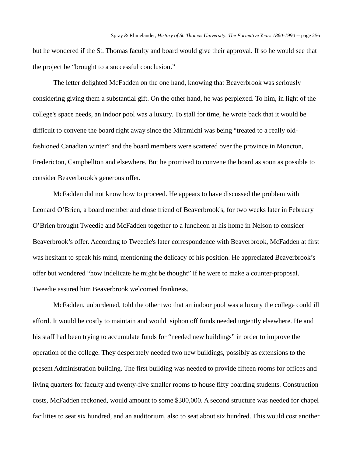but he wondered if the St. Thomas faculty and board would give their approval. If so he would see that the project be "brought to a successful conclusion."

The letter delighted McFadden on the one hand, knowing that Beaverbrook was seriously considering giving them a substantial gift. On the other hand, he was perplexed. To him, in light of the college's space needs, an indoor pool was a luxury. To stall for time, he wrote back that it would be difficult to convene the board right away since the Miramichi was being "treated to a really oldfashioned Canadian winter" and the board members were scattered over the province in Moncton, Fredericton, Campbellton and elsewhere. But he promised to convene the board as soon as possible to consider Beaverbrook's generous offer.

McFadden did not know how to proceed. He appears to have discussed the problem with Leonard O'Brien, a board member and close friend of Beaverbrook's, for two weeks later in February O'Brien brought Tweedie and McFadden together to a luncheon at his home in Nelson to consider Beaverbrook's offer. According to Tweedie's later correspondence with Beaverbrook, McFadden at first was hesitant to speak his mind, mentioning the delicacy of his position. He appreciated Beaverbrook's offer but wondered "how indelicate he might be thought" if he were to make a counter-proposal. Tweedie assured him Beaverbrook welcomed frankness.

McFadden, unburdened, told the other two that an indoor pool was a luxury the college could ill afford. It would be costly to maintain and would siphon off funds needed urgently elsewhere. He and his staff had been trying to accumulate funds for "needed new buildings" in order to improve the operation of the college. They desperately needed two new buildings, possibly as extensions to the present Administration building. The first building was needed to provide fifteen rooms for offices and living quarters for faculty and twenty-five smaller rooms to house fifty boarding students. Construction costs, McFadden reckoned, would amount to some \$300,000. A second structure was needed for chapel facilities to seat six hundred, and an auditorium, also to seat about six hundred. This would cost another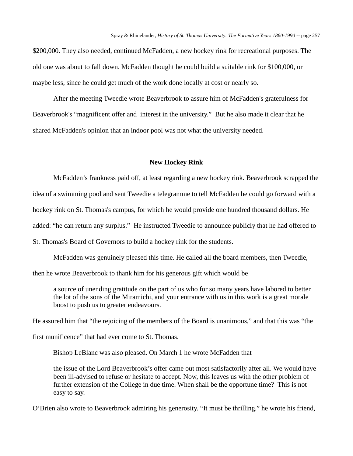\$200,000. They also needed, continued McFadden, a new hockey rink for recreational purposes. The old one was about to fall down. McFadden thought he could build a suitable rink for \$100,000, or maybe less, since he could get much of the work done locally at cost or nearly so.

After the meeting Tweedie wrote Beaverbrook to assure him of McFadden's gratefulness for Beaverbrook's "magnificent offer and interest in the university." But he also made it clear that he shared McFadden's opinion that an indoor pool was not what the university needed.

### **New Hockey Rink**

McFadden's frankness paid off, at least regarding a new hockey rink. Beaverbrook scrapped the idea of a swimming pool and sent Tweedie a telegramme to tell McFadden he could go forward with a hockey rink on St. Thomas's campus, for which he would provide one hundred thousand dollars. He added: "he can return any surplus." He instructed Tweedie to announce publicly that he had offered to

St. Thomas's Board of Governors to build a hockey rink for the students.

McFadden was genuinely pleased this time. He called all the board members, then Tweedie,

then he wrote Beaverbrook to thank him for his generous gift which would be

a source of unending gratitude on the part of us who for so many years have labored to better the lot of the sons of the Miramichi, and your entrance with us in this work is a great morale boost to push us to greater endeavours.

He assured him that "the rejoicing of the members of the Board is unanimous," and that this was "the

first munificence" that had ever come to St. Thomas.

Bishop LeBlanc was also pleased. On March 1 he wrote McFadden that

the issue of the Lord Beaverbrook's offer came out most satisfactorily after all. We would have been ill-advised to refuse or hesitate to accept. Now, this leaves us with the other problem of further extension of the College in due time. When shall be the opportune time? This is not easy to say.

O'Brien also wrote to Beaverbrook admiring his generosity. "It must be thrilling." he wrote his friend,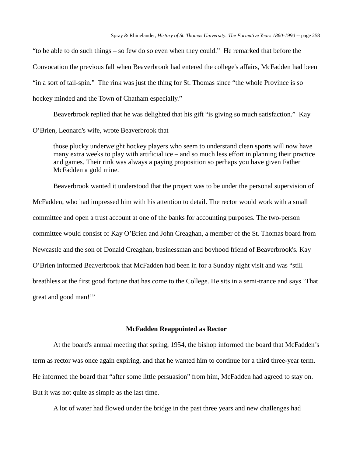"to be able to do such things – so few do so even when they could." He remarked that before the Convocation the previous fall when Beaverbrook had entered the college's affairs, McFadden had been "in a sort of tail-spin." The rink was just the thing for St. Thomas since "the whole Province is so hockey minded and the Town of Chatham especially."

Beaverbrook replied that he was delighted that his gift "is giving so much satisfaction." Kay

O'Brien, Leonard's wife, wrote Beaverbrook that

those plucky underweight hockey players who seem to understand clean sports will now have many extra weeks to play with artificial ice – and so much less effort in planning their practice and games. Their rink was always a paying proposition so perhaps you have given Father McFadden a gold mine.

Beaverbrook wanted it understood that the project was to be under the personal supervision of

McFadden, who had impressed him with his attention to detail. The rector would work with a small committee and open a trust account at one of the banks for accounting purposes. The two-person committee would consist of Kay O'Brien and John Creaghan, a member of the St. Thomas board from Newcastle and the son of Donald Creaghan, businessman and boyhood friend of Beaverbrook's. Kay O'Brien informed Beaverbrook that McFadden had been in for a Sunday night visit and was "still breathless at the first good fortune that has come to the College. He sits in a semi-trance and says 'That great and good man!'"

### **McFadden Reappointed as Rector**

At the board's annual meeting that spring, 1954, the bishop informed the board that McFadden's term as rector was once again expiring, and that he wanted him to continue for a third three-year term. He informed the board that "after some little persuasion" from him, McFadden had agreed to stay on. But it was not quite as simple as the last time.

A lot of water had flowed under the bridge in the past three years and new challenges had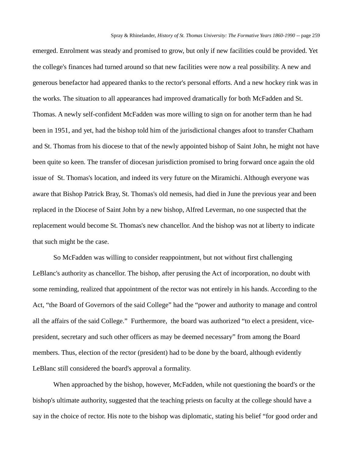emerged. Enrolment was steady and promised to grow, but only if new facilities could be provided. Yet the college's finances had turned around so that new facilities were now a real possibility. A new and generous benefactor had appeared thanks to the rector's personal efforts. And a new hockey rink was in the works. The situation to all appearances had improved dramatically for both McFadden and St. Thomas. A newly self-confident McFadden was more willing to sign on for another term than he had been in 1951, and yet, had the bishop told him of the jurisdictional changes afoot to transfer Chatham and St. Thomas from his diocese to that of the newly appointed bishop of Saint John, he might not have been quite so keen. The transfer of diocesan jurisdiction promised to bring forward once again the old issue of St. Thomas's location, and indeed its very future on the Miramichi. Although everyone was aware that Bishop Patrick Bray, St. Thomas's old nemesis, had died in June the previous year and been replaced in the Diocese of Saint John by a new bishop, Alfred Leverman, no one suspected that the replacement would become St. Thomas's new chancellor. And the bishop was not at liberty to indicate that such might be the case.

So McFadden was willing to consider reappointment, but not without first challenging LeBlanc's authority as chancellor. The bishop, after perusing the Act of incorporation, no doubt with some reminding, realized that appointment of the rector was not entirely in his hands. According to the Act, "the Board of Governors of the said College" had the "power and authority to manage and control all the affairs of the said College." Furthermore, the board was authorized "to elect a president, vicepresident, secretary and such other officers as may be deemed necessary" from among the Board members. Thus, election of the rector (president) had to be done by the board, although evidently LeBlanc still considered the board's approval a formality.

When approached by the bishop, however, McFadden, while not questioning the board's or the bishop's ultimate authority, suggested that the teaching priests on faculty at the college should have a say in the choice of rector. His note to the bishop was diplomatic, stating his belief "for good order and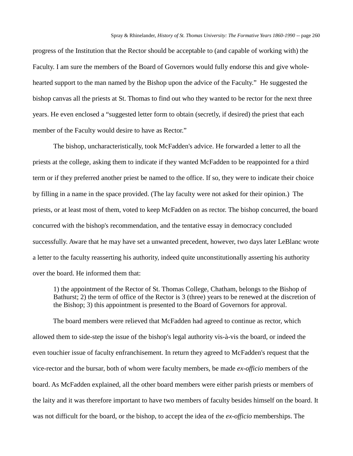progress of the Institution that the Rector should be acceptable to (and capable of working with) the Faculty. I am sure the members of the Board of Governors would fully endorse this and give wholehearted support to the man named by the Bishop upon the advice of the Faculty." He suggested the bishop canvas all the priests at St. Thomas to find out who they wanted to be rector for the next three years. He even enclosed a "suggested letter form to obtain (secretly, if desired) the priest that each member of the Faculty would desire to have as Rector."

The bishop, uncharacteristically, took McFadden's advice. He forwarded a letter to all the priests at the college, asking them to indicate if they wanted McFadden to be reappointed for a third term or if they preferred another priest be named to the office. If so, they were to indicate their choice by filling in a name in the space provided. (The lay faculty were not asked for their opinion.) The priests, or at least most of them, voted to keep McFadden on as rector. The bishop concurred, the board concurred with the bishop's recommendation, and the tentative essay in democracy concluded successfully. Aware that he may have set a unwanted precedent, however, two days later LeBlanc wrote a letter to the faculty reasserting his authority, indeed quite unconstitutionally asserting his authority over the board. He informed them that:

1) the appointment of the Rector of St. Thomas College, Chatham, belongs to the Bishop of Bathurst; 2) the term of office of the Rector is 3 (three) years to be renewed at the discretion of the Bishop; 3) this appointment is presented to the Board of Governors for approval.

The board members were relieved that McFadden had agreed to continue as rector, which allowed them to side-step the issue of the bishop's legal authority vis-à-vis the board, or indeed the even touchier issue of faculty enfranchisement. In return they agreed to McFadden's request that the vice-rector and the bursar, both of whom were faculty members, be made *ex-officio* members of the board. As McFadden explained, all the other board members were either parish priests or members of the laity and it was therefore important to have two members of faculty besides himself on the board. It was not difficult for the board, or the bishop, to accept the idea of the *ex-officio* memberships. The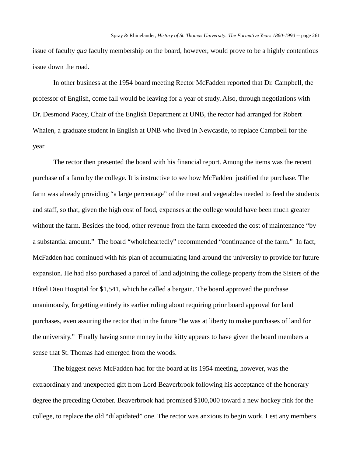issue of faculty *qua* faculty membership on the board, however, would prove to be a highly contentious issue down the road.

In other business at the 1954 board meeting Rector McFadden reported that Dr. Campbell, the professor of English, come fall would be leaving for a year of study. Also, through negotiations with Dr. Desmond Pacey, Chair of the English Department at UNB, the rector had arranged for Robert Whalen, a graduate student in English at UNB who lived in Newcastle, to replace Campbell for the year.

The rector then presented the board with his financial report. Among the items was the recent purchase of a farm by the college. It is instructive to see how McFadden justified the purchase. The farm was already providing "a large percentage" of the meat and vegetables needed to feed the students and staff, so that, given the high cost of food, expenses at the college would have been much greater without the farm. Besides the food, other revenue from the farm exceeded the cost of maintenance "by a substantial amount." The board "wholeheartedly" recommended "continuance of the farm." In fact, McFadden had continued with his plan of accumulating land around the university to provide for future expansion. He had also purchased a parcel of land adjoining the college property from the Sisters of the Hôtel Dieu Hospital for \$1,541, which he called a bargain. The board approved the purchase unanimously, forgetting entirely its earlier ruling about requiring prior board approval for land purchases, even assuring the rector that in the future "he was at liberty to make purchases of land for the university." Finally having some money in the kitty appears to have given the board members a sense that St. Thomas had emerged from the woods.

The biggest news McFadden had for the board at its 1954 meeting, however, was the extraordinary and unexpected gift from Lord Beaverbrook following his acceptance of the honorary degree the preceding October. Beaverbrook had promised \$100,000 toward a new hockey rink for the college, to replace the old "dilapidated" one. The rector was anxious to begin work. Lest any members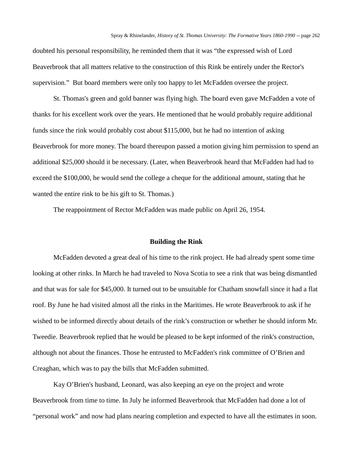doubted his personal responsibility, he reminded them that it was "the expressed wish of Lord Beaverbrook that all matters relative to the construction of this Rink be entirely under the Rector's supervision." But board members were only too happy to let McFadden oversee the project.

St. Thomas's green and gold banner was flying high. The board even gave McFadden a vote of thanks for his excellent work over the years. He mentioned that he would probably require additional funds since the rink would probably cost about \$115,000, but he had no intention of asking Beaverbrook for more money. The board thereupon passed a motion giving him permission to spend an additional \$25,000 should it be necessary. (Later, when Beaverbrook heard that McFadden had had to exceed the \$100,000, he would send the college a cheque for the additional amount, stating that he wanted the entire rink to be his gift to St. Thomas.)

The reappointment of Rector McFadden was made public on April 26, 1954.

### **Building the Rink**

McFadden devoted a great deal of his time to the rink project. He had already spent some time looking at other rinks. In March he had traveled to Nova Scotia to see a rink that was being dismantled and that was for sale for \$45,000. It turned out to be unsuitable for Chatham snowfall since it had a flat roof. By June he had visited almost all the rinks in the Maritimes. He wrote Beaverbrook to ask if he wished to be informed directly about details of the rink's construction or whether he should inform Mr. Tweedie. Beaverbrook replied that he would be pleased to be kept informed of the rink's construction, although not about the finances. Those he entrusted to McFadden's rink committee of O'Brien and Creaghan, which was to pay the bills that McFadden submitted.

Kay O'Brien's husband, Leonard, was also keeping an eye on the project and wrote Beaverbrook from time to time. In July he informed Beaverbrook that McFadden had done a lot of "personal work" and now had plans nearing completion and expected to have all the estimates in soon.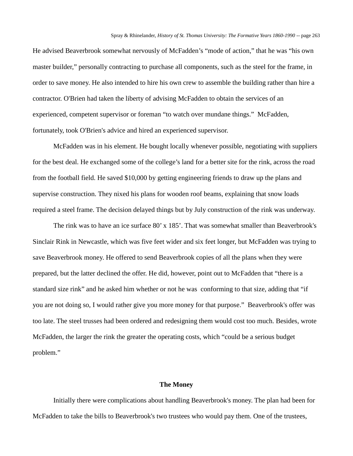He advised Beaverbrook somewhat nervously of McFadden's "mode of action," that he was "his own master builder," personally contracting to purchase all components, such as the steel for the frame, in order to save money. He also intended to hire his own crew to assemble the building rather than hire a contractor. O'Brien had taken the liberty of advising McFadden to obtain the services of an experienced, competent supervisor or foreman "to watch over mundane things." McFadden, fortunately, took O'Brien's advice and hired an experienced supervisor.

McFadden was in his element. He bought locally whenever possible, negotiating with suppliers for the best deal. He exchanged some of the college's land for a better site for the rink, across the road from the football field. He saved \$10,000 by getting engineering friends to draw up the plans and supervise construction. They nixed his plans for wooden roof beams, explaining that snow loads required a steel frame. The decision delayed things but by July construction of the rink was underway.

The rink was to have an ice surface 80' x 185'. That was somewhat smaller than Beaverbrook's Sinclair Rink in Newcastle, which was five feet wider and six feet longer, but McFadden was trying to save Beaverbrook money. He offered to send Beaverbrook copies of all the plans when they were prepared, but the latter declined the offer. He did, however, point out to McFadden that "there is a standard size rink" and he asked him whether or not he was conforming to that size, adding that "if you are not doing so, I would rather give you more money for that purpose." Beaverbrook's offer was too late. The steel trusses had been ordered and redesigning them would cost too much. Besides, wrote McFadden, the larger the rink the greater the operating costs, which "could be a serious budget problem."

#### **The Money**

Initially there were complications about handling Beaverbrook's money. The plan had been for McFadden to take the bills to Beaverbrook's two trustees who would pay them. One of the trustees,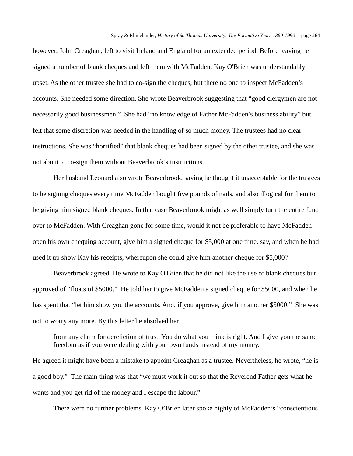however, John Creaghan, left to visit Ireland and England for an extended period. Before leaving he signed a number of blank cheques and left them with McFadden. Kay O'Brien was understandably upset. As the other trustee she had to co-sign the cheques, but there no one to inspect McFadden's accounts. She needed some direction. She wrote Beaverbrook suggesting that "good clergymen are not necessarily good businessmen." She had "no knowledge of Father McFadden's business ability" but felt that some discretion was needed in the handling of so much money. The trustees had no clear instructions. She was "horrified" that blank cheques had been signed by the other trustee, and she was not about to co-sign them without Beaverbrook's instructions.

Her husband Leonard also wrote Beaverbrook, saying he thought it unacceptable for the trustees to be signing cheques every time McFadden bought five pounds of nails, and also illogical for them to be giving him signed blank cheques. In that case Beaverbrook might as well simply turn the entire fund over to McFadden. With Creaghan gone for some time, would it not be preferable to have McFadden open his own chequing account, give him a signed cheque for \$5,000 at one time, say, and when he had used it up show Kay his receipts, whereupon she could give him another cheque for \$5,000?

Beaverbrook agreed. He wrote to Kay O'Brien that he did not like the use of blank cheques but approved of "floats of \$5000." He told her to give McFadden a signed cheque for \$5000, and when he has spent that "let him show you the accounts. And, if you approve, give him another \$5000." She was not to worry any more. By this letter he absolved her

from any claim for dereliction of trust. You do what you think is right. And I give you the same freedom as if you were dealing with your own funds instead of my money.

He agreed it might have been a mistake to appoint Creaghan as a trustee. Nevertheless, he wrote, "he is a good boy." The main thing was that "we must work it out so that the Reverend Father gets what he wants and you get rid of the money and I escape the labour."

There were no further problems. Kay O'Brien later spoke highly of McFadden's "conscientious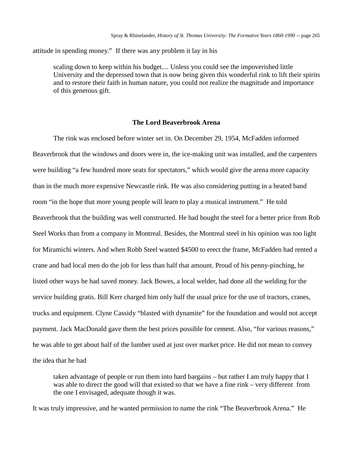attitude in spending money." If there was any problem it lay in his

scaling down to keep within his budget.... Unless you could see the impoverished little University and the depressed town that is now being given this wonderful rink to lift their spirits and to restore their faith in human nature, you could not realize the magnitude and importance of this generous gift.

### **The Lord Beaverbrook Arena**

The rink was enclosed before winter set in. On December 29, 1954, McFadden informed Beaverbrook that the windows and doors were in, the ice-making unit was installed, and the carpenters were building "a few hundred more seats for spectators," which would give the arena more capacity than in the much more expensive Newcastle rink. He was also considering putting in a heated band room "in the hope that more young people will learn to play a musical instrument." He told Beaverbrook that the building was well constructed. He had bought the steel for a better price from Rob Steel Works than from a company in Montreal. Besides, the Montreal steel in his opinion was too light for Miramichi winters. And when Robb Steel wanted \$4500 to erect the frame, McFadden had rented a crane and had local men do the job for less than half that amount. Proud of his penny-pinching, he listed other ways he had saved money. Jack Bowes, a local welder, had done all the welding for the service building gratis. Bill Kerr charged him only half the usual price for the use of tractors, cranes, trucks and equipment. Clyne Cassidy "blasted with dynamite" for the foundation and would not accept payment. Jack MacDonald gave them the best prices possible for cement. Also, "for various reasons," he was able to get about half of the lumber used at just over market price. He did not mean to convey the idea that he had

taken advantage of people or run them into hard bargains – but rather I am truly happy that I was able to direct the good will that existed so that we have a fine rink – very different from the one I envisaged, adequate though it was.

It was truly impressive, and he wanted permission to name the rink "The Beaverbrook Arena." He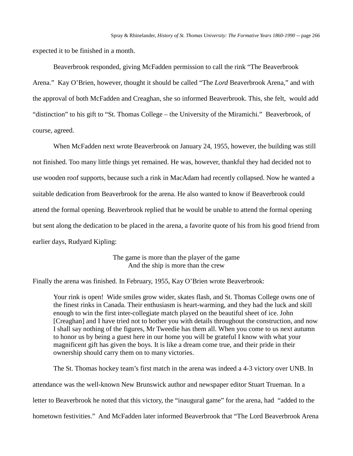expected it to be finished in a month.

Beaverbrook responded, giving McFadden permission to call the rink "The Beaverbrook Arena." Kay O'Brien, however, thought it should be called "The *Lord* Beaverbrook Arena," and with the approval of both McFadden and Creaghan, she so informed Beaverbrook. This, she felt, would add "distinction" to his gift to "St. Thomas College – the University of the Miramichi." Beaverbrook, of course, agreed.

When McFadden next wrote Beaverbrook on January 24, 1955, however, the building was still not finished. Too many little things yet remained. He was, however, thankful they had decided not to use wooden roof supports, because such a rink in MacAdam had recently collapsed. Now he wanted a suitable dedication from Beaverbrook for the arena. He also wanted to know if Beaverbrook could attend the formal opening. Beaverbrook replied that he would be unable to attend the formal opening but sent along the dedication to be placed in the arena, a favorite quote of his from his good friend from earlier days, Rudyard Kipling:

> The game is more than the player of the game And the ship is more than the crew

Finally the arena was finished. In February, 1955, Kay O'Brien wrote Beaverbrook:

Your rink is open! Wide smiles grow wider, skates flash, and St. Thomas College owns one of the finest rinks in Canada. Their enthusiasm is heart-warming, and they had the luck and skill enough to win the first inter-collegiate match played on the beautiful sheet of ice. John [Creaghan] and I have tried not to bother you with details throughout the construction, and now I shall say nothing of the figures, Mr Tweedie has them all. When you come to us next autumn to honor us by being a guest here in our home you will be grateful I know with what your magnificent gift has given the boys. It is like a dream come true, and their pride in their ownership should carry them on to many victories.

The St. Thomas hockey team's first match in the arena was indeed a 4-3 victory over UNB. In attendance was the well-known New Brunswick author and newspaper editor Stuart Trueman. In a letter to Beaverbrook he noted that this victory, the "inaugural game" for the arena, had "added to the hometown festivities." And McFadden later informed Beaverbrook that "The Lord Beaverbrook Arena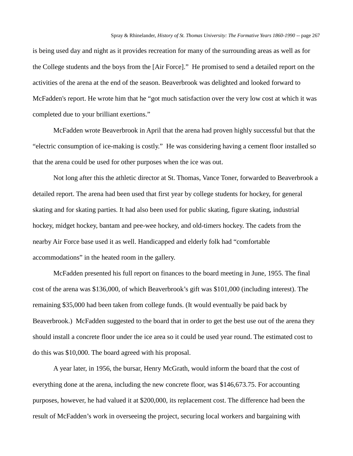is being used day and night as it provides recreation for many of the surrounding areas as well as for the College students and the boys from the [Air Force]." He promised to send a detailed report on the activities of the arena at the end of the season. Beaverbrook was delighted and looked forward to McFadden's report. He wrote him that he "got much satisfaction over the very low cost at which it was completed due to your brilliant exertions."

McFadden wrote Beaverbrook in April that the arena had proven highly successful but that the "electric consumption of ice-making is costly." He was considering having a cement floor installed so that the arena could be used for other purposes when the ice was out.

Not long after this the athletic director at St. Thomas, Vance Toner, forwarded to Beaverbrook a detailed report. The arena had been used that first year by college students for hockey, for general skating and for skating parties. It had also been used for public skating, figure skating, industrial hockey, midget hockey, bantam and pee-wee hockey, and old-timers hockey. The cadets from the nearby Air Force base used it as well. Handicapped and elderly folk had "comfortable accommodations" in the heated room in the gallery.

McFadden presented his full report on finances to the board meeting in June, 1955. The final cost of the arena was \$136,000, of which Beaverbrook's gift was \$101,000 (including interest). The remaining \$35,000 had been taken from college funds. (It would eventually be paid back by Beaverbrook.) McFadden suggested to the board that in order to get the best use out of the arena they should install a concrete floor under the ice area so it could be used year round. The estimated cost to do this was \$10,000. The board agreed with his proposal.

A year later, in 1956, the bursar, Henry McGrath, would inform the board that the cost of everything done at the arena, including the new concrete floor, was \$146,673.75. For accounting purposes, however, he had valued it at \$200,000, its replacement cost. The difference had been the result of McFadden's work in overseeing the project, securing local workers and bargaining with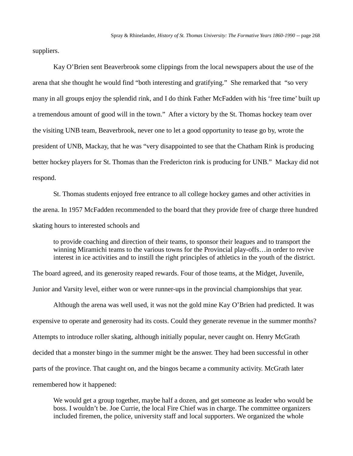suppliers.

Kay O'Brien sent Beaverbrook some clippings from the local newspapers about the use of the arena that she thought he would find "both interesting and gratifying." She remarked that "so very many in all groups enjoy the splendid rink, and I do think Father McFadden with his 'free time' built up a tremendous amount of good will in the town." After a victory by the St. Thomas hockey team over the visiting UNB team, Beaverbrook, never one to let a good opportunity to tease go by, wrote the president of UNB, Mackay, that he was "very disappointed to see that the Chatham Rink is producing better hockey players for St. Thomas than the Fredericton rink is producing for UNB." Mackay did not respond.

St. Thomas students enjoyed free entrance to all college hockey games and other activities in the arena. In 1957 McFadden recommended to the board that they provide free of charge three hundred skating hours to interested schools and

to provide coaching and direction of their teams, to sponsor their leagues and to transport the winning Miramichi teams to the various towns for the Provincial play-offs…in order to revive interest in ice activities and to instill the right principles of athletics in the youth of the district.

The board agreed, and its generosity reaped rewards. Four of those teams, at the Midget, Juvenile,

Junior and Varsity level, either won or were runner-ups in the provincial championships that year.

Although the arena was well used, it was not the gold mine Kay O'Brien had predicted. It was expensive to operate and generosity had its costs. Could they generate revenue in the summer months? Attempts to introduce roller skating, although initially popular, never caught on. Henry McGrath decided that a monster bingo in the summer might be the answer. They had been successful in other parts of the province. That caught on, and the bingos became a community activity. McGrath later remembered how it happened:

We would get a group together, maybe half a dozen, and get someone as leader who would be boss. I wouldn't be. Joe Currie, the local Fire Chief was in charge. The committee organizers included firemen, the police, university staff and local supporters. We organized the whole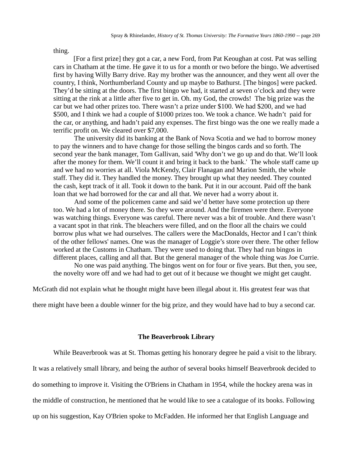thing.

[For a first prize] they got a car, a new Ford, from Pat Keoughan at cost. Pat was selling cars in Chatham at the time. He gave it to us for a month or two before the bingo. We advertised first by having Willy Barry drive. Ray my brother was the announcer, and they went all over the country, I think, Northumberland County and up maybe to Bathurst. [The bingos] were packed. They'd be sitting at the doors. The first bingo we had, it started at seven o'clock and they were sitting at the rink at a little after five to get in. Oh. my God, the crowds! The big prize was the car but we had other prizes too. There wasn't a prize under \$100. We had \$200, and we had \$500, and I think we had a couple of \$1000 prizes too. We took a chance. We hadn't paid for the car, or anything, and hadn't paid any expenses. The first bingo was the one we really made a terrific profit on. We cleared over \$7,000.

The university did its banking at the Bank of Nova Scotia and we had to borrow money to pay the winners and to have change for those selling the bingos cards and so forth. The second year the bank manager, Tom Gallivan, said 'Why don't we go up and do that. We'll look after the money for them. We'll count it and bring it back to the bank.' The whole staff came up and we had no worries at all. Viola McKendy, Clair Flanagan and Marion Smith, the whole staff. They did it. They handled the money. They brought up what they needed. They counted the cash, kept track of it all. Took it down to the bank. Put it in our account. Paid off the bank loan that we had borrowed for the car and all that. We never had a worry about it.

And some of the policemen came and said we'd better have some protection up there too. We had a lot of money there. So they were around. And the firemen were there. Everyone was watching things. Everyone was careful. There never was a bit of trouble. And there wasn't a vacant spot in that rink. The bleachers were filled, and on the floor all the chairs we could borrow plus what we had ourselves. The callers were the MacDonalds, Hector and I can't think of the other fellows' names. One was the manager of Loggie's store over there. The other fellow worked at the Customs in Chatham. They were used to doing that. They had run bingos in different places, calling and all that. But the general manager of the whole thing was Joe Currie.

No one was paid anything. The bingos went on for four or five years. But then, you see, the novelty wore off and we had had to get out of it because we thought we might get caught.

McGrath did not explain what he thought might have been illegal about it. His greatest fear was that

there might have been a double winner for the big prize, and they would have had to buy a second car.

### **The Beaverbrook Library**

While Beaverbrook was at St. Thomas getting his honorary degree he paid a visit to the library.

It was a relatively small library, and being the author of several books himself Beaverbrook decided to

do something to improve it. Visiting the O'Briens in Chatham in 1954, while the hockey arena was in

the middle of construction, he mentioned that he would like to see a catalogue of its books. Following

up on his suggestion, Kay O'Brien spoke to McFadden. He informed her that English Language and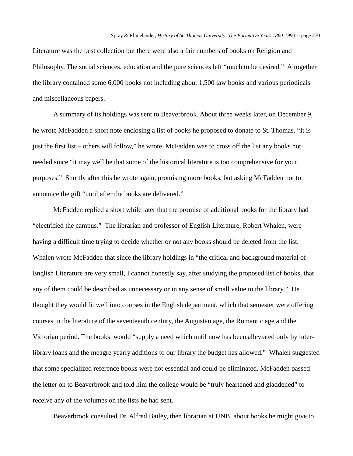Literature was the best collection but there were also a fair numbers of books on Religion and Philosophy. The social sciences, education and the pure sciences left "much to be desired." Altogether the library contained some 6,000 books not including about 1,500 law books and various periodicals and miscellaneous papers.

A summary of its holdings was sent to Beaverbrook. About three weeks later, on December 9, he wrote McFadden a short note enclosing a list of books he proposed to donate to St. Thomas. "It is just the first list – others will follow," he wrote. McFadden was to cross off the list any books not needed since "it may well be that some of the historical literature is too comprehensive for your purposes." Shortly after this he wrote again, promising more books, but asking McFadden not to announce the gift "until after the books are delivered."

McFadden replied a short while later that the promise of additional books for the library had "electrified the campus." The librarian and professor of English Literature, Robert Whalen, were having a difficult time trying to decide whether or not any books should be deleted from the list. Whalen wrote McFadden that since the library holdings in "the critical and background material of English Literature are very small, I cannot honestly say, after studying the proposed list of books, that any of them could be described as unnecessary or in any sense of small value to the library." He thought they would fit well into courses in the English department, which that semester were offering courses in the literature of the seventeenth century, the Augustan age, the Romantic age and the Victorian period. The books would "supply a need which until now has been alleviated only by interlibrary loans and the meagre yearly additions to our library the budget has allowed." Whalen suggested that some specialized reference books were not essential and could be eliminated. McFadden passed the letter on to Beaverbrook and told him the college would be "truly heartened and gladdened" to receive any of the volumes on the lists he had sent.

Beaverbrook consulted Dr. Alfred Bailey, then librarian at UNB, about books he might give to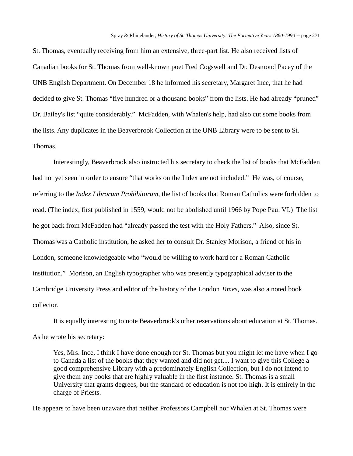St. Thomas, eventually receiving from him an extensive, three-part list. He also received lists of Canadian books for St. Thomas from well-known poet Fred Cogswell and Dr. Desmond Pacey of the UNB English Department. On December 18 he informed his secretary, Margaret Ince, that he had decided to give St. Thomas "five hundred or a thousand books" from the lists. He had already "pruned" Dr. Bailey's list "quite considerably." McFadden, with Whalen's help, had also cut some books from the lists. Any duplicates in the Beaverbrook Collection at the UNB Library were to be sent to St. Thomas.

Interestingly, Beaverbrook also instructed his secretary to check the list of books that McFadden had not yet seen in order to ensure "that works on the Index are not included." He was, of course, referring to the *Index Librorum Prohibitorum,* the list of books that Roman Catholics were forbidden to read. (The index, first published in 1559, would not be abolished until 1966 by Pope Paul VI.) The list he got back from McFadden had "already passed the test with the Holy Fathers." Also, since St. Thomas was a Catholic institution, he asked her to consult Dr. Stanley Morison, a friend of his in London, someone knowledgeable who "would be willing to work hard for a Roman Catholic institution." Morison, an English typographer who was presently typographical adviser to the Cambridge University Press and editor of the history of the London *Times*, was also a noted book collector.

It is equally interesting to note Beaverbrook's other reservations about education at St. Thomas. As he wrote his secretary:

Yes, Mrs. Ince, I think I have done enough for St. Thomas but you might let me have when I go to Canada a list of the books that they wanted and did not get.... I want to give this College a good comprehensive Library with a predominately English Collection, but I do not intend to give them any books that are highly valuable in the first instance. St. Thomas is a small University that grants degrees, but the standard of education is not too high. It is entirely in the charge of Priests.

He appears to have been unaware that neither Professors Campbell nor Whalen at St. Thomas were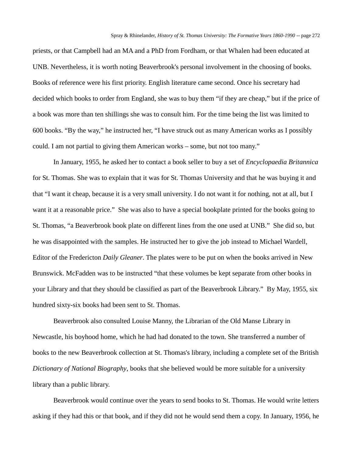priests, or that Campbell had an MA and a PhD from Fordham, or that Whalen had been educated at UNB. Nevertheless, it is worth noting Beaverbrook's personal involvement in the choosing of books. Books of reference were his first priority. English literature came second. Once his secretary had decided which books to order from England, she was to buy them "if they are cheap," but if the price of a book was more than ten shillings she was to consult him. For the time being the list was limited to 600 books. "By the way," he instructed her, "I have struck out as many American works as I possibly could. I am not partial to giving them American works – some, but not too many."

In January, 1955, he asked her to contact a book seller to buy a set of *Encyclopaedia Britannica* for St. Thomas. She was to explain that it was for St. Thomas University and that he was buying it and that "I want it cheap, because it is a very small university. I do not want it for nothing, not at all, but I want it at a reasonable price." She was also to have a special bookplate printed for the books going to St. Thomas, "a Beaverbrook book plate on different lines from the one used at UNB." She did so, but he was disappointed with the samples. He instructed her to give the job instead to Michael Wardell, Editor of the Fredericton *Daily Gleaner*. The plates were to be put on when the books arrived in New Brunswick. McFadden was to be instructed "that these volumes be kept separate from other books in your Library and that they should be classified as part of the Beaverbrook Library." By May, 1955, six hundred sixty-six books had been sent to St. Thomas.

Beaverbrook also consulted Louise Manny, the Librarian of the Old Manse Library in Newcastle, his boyhood home, which he had had donated to the town. She transferred a number of books to the new Beaverbrook collection at St. Thomas's library, including a complete set of the British *Dictionary of National Biography*, books that she believed would be more suitable for a university library than a public library.

Beaverbrook would continue over the years to send books to St. Thomas. He would write letters asking if they had this or that book, and if they did not he would send them a copy. In January, 1956, he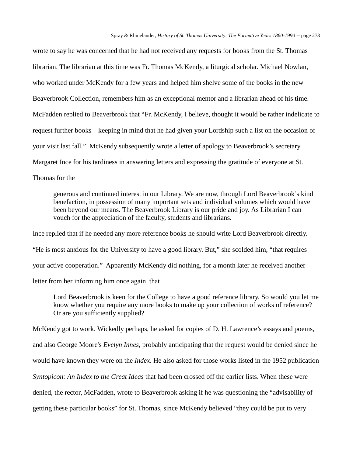wrote to say he was concerned that he had not received any requests for books from the St. Thomas librarian. The librarian at this time was Fr. Thomas McKendy, a liturgical scholar. Michael Nowlan, who worked under McKendy for a few years and helped him shelve some of the books in the new Beaverbrook Collection, remembers him as an exceptional mentor and a librarian ahead of his time. McFadden replied to Beaverbrook that "Fr. McKendy, I believe, thought it would be rather indelicate to request further books – keeping in mind that he had given your Lordship such a list on the occasion of your visit last fall." McKendy subsequently wrote a letter of apology to Beaverbrook's secretary Margaret Ince for his tardiness in answering letters and expressing the gratitude of everyone at St. Thomas for the

generous and continued interest in our Library. We are now, through Lord Beaverbrook's kind benefaction, in possession of many important sets and individual volumes which would have been beyond our means. The Beaverbrook Library is our pride and joy. As Librarian I can vouch for the appreciation of the faculty, students and librarians.

Ince replied that if he needed any more reference books he should write Lord Beaverbrook directly. "He is most anxious for the University to have a good library. But," she scolded him, "that requires your active cooperation." Apparently McKendy did nothing, for a month later he received another letter from her informing him once again that

Lord Beaverbrook is keen for the College to have a good reference library. So would you let me know whether you require any more books to make up your collection of works of reference? Or are you sufficiently supplied?

McKendy got to work. Wickedly perhaps, he asked for copies of D. H. Lawrence's essays and poems, and also George Moore's *Evelyn Innes*, probably anticipating that the request would be denied since he would have known they were on the *Index*. He also asked for those works listed in the 1952 publication *Syntopicon: An Index to the Great Ideas* that had been crossed off the earlier lists. When these were denied, the rector, McFadden, wrote to Beaverbrook asking if he was questioning the "advisability of getting these particular books" for St. Thomas, since McKendy believed "they could be put to very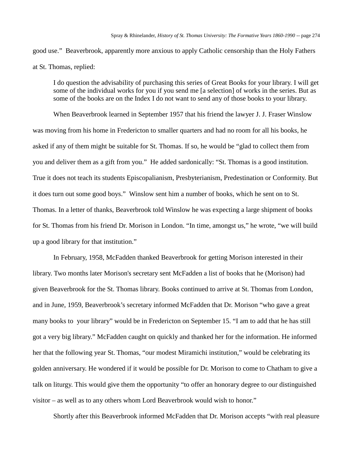good use." Beaverbrook, apparently more anxious to apply Catholic censorship than the Holy Fathers at St. Thomas, replied:

I do question the advisability of purchasing this series of Great Books for your library. I will get some of the individual works for you if you send me [a selection] of works in the series. But as some of the books are on the Index I do not want to send any of those books to your library.

When Beaverbrook learned in September 1957 that his friend the lawyer J. J. Fraser Winslow was moving from his home in Fredericton to smaller quarters and had no room for all his books, he asked if any of them might be suitable for St. Thomas. If so, he would be "glad to collect them from you and deliver them as a gift from you." He added sardonically: "St. Thomas is a good institution. True it does not teach its students Episcopalianism, Presbyterianism, Predestination or Conformity. But it does turn out some good boys." Winslow sent him a number of books, which he sent on to St. Thomas. In a letter of thanks, Beaverbrook told Winslow he was expecting a large shipment of books for St. Thomas from his friend Dr. Morison in London. "In time, amongst us," he wrote, "we will build up a good library for that institution."

In February, 1958, McFadden thanked Beaverbrook for getting Morison interested in their library. Two months later Morison's secretary sent McFadden a list of books that he (Morison) had given Beaverbrook for the St. Thomas library. Books continued to arrive at St. Thomas from London, and in June, 1959, Beaverbrook's secretary informed McFadden that Dr. Morison "who gave a great many books to your library" would be in Fredericton on September 15. "I am to add that he has still got a very big library." McFadden caught on quickly and thanked her for the information. He informed her that the following year St. Thomas, "our modest Miramichi institution," would be celebrating its golden anniversary. He wondered if it would be possible for Dr. Morison to come to Chatham to give a talk on liturgy. This would give them the opportunity "to offer an honorary degree to our distinguished visitor – as well as to any others whom Lord Beaverbrook would wish to honor."

Shortly after this Beaverbrook informed McFadden that Dr. Morison accepts "with real pleasure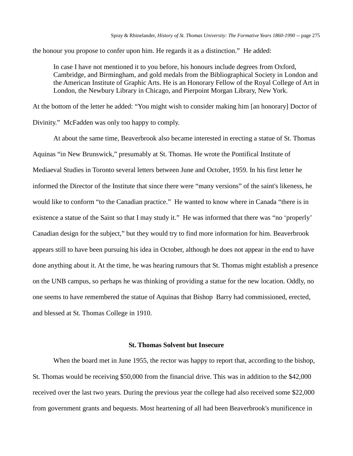the honour you propose to confer upon him. He regards it as a distinction." He added:

In case I have not mentioned it to you before, his honours include degrees from Oxford, Cambridge, and Birmingham, and gold medals from the Bibliographical Society in London and the American Institute of Graphic Arts. He is an Honorary Fellow of the Royal College of Art in London, the Newbury Library in Chicago, and Pierpoint Morgan Library, New York.

At the bottom of the letter he added: "You might wish to consider making him [an honorary] Doctor of Divinity." McFadden was only too happy to comply.

At about the same time, Beaverbrook also became interested in erecting a statue of St. Thomas Aquinas "in New Brunswick," presumably at St. Thomas. He wrote the Pontifical Institute of Mediaeval Studies in Toronto several letters between June and October, 1959. In his first letter he informed the Director of the Institute that since there were "many versions" of the saint's likeness, he would like to conform "to the Canadian practice." He wanted to know where in Canada "there is in existence a statue of the Saint so that I may study it." He was informed that there was "no 'properly' Canadian design for the subject," but they would try to find more information for him. Beaverbrook appears still to have been pursuing his idea in October, although he does not appear in the end to have done anything about it. At the time, he was hearing rumours that St. Thomas might establish a presence on the UNB campus, so perhaps he was thinking of providing a statue for the new location. Oddly, no one seems to have remembered the statue of Aquinas that Bishop Barry had commissioned, erected, and blessed at St. Thomas College in 1910.

#### **St. Thomas Solvent but Insecure**

When the board met in June 1955, the rector was happy to report that, according to the bishop, St. Thomas would be receiving \$50,000 from the financial drive. This was in addition to the \$42,000 received over the last two years. During the previous year the college had also received some \$22,000 from government grants and bequests. Most heartening of all had been Beaverbrook's munificence in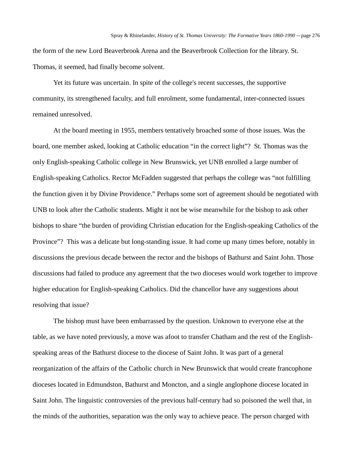the form of the new Lord Beaverbrook Arena and the Beaverbrook Collection for the library. St. Thomas, it seemed, had finally become solvent.

Yet its future was uncertain. In spite of the college's recent successes, the supportive community, its strengthened faculty, and full enrolment, some fundamental, inter-connected issues remained unresolved.

At the board meeting in 1955, members tentatively broached some of those issues. Was the board, one member asked, looking at Catholic education "in the correct light"? St. Thomas was the only English-speaking Catholic college in New Brunswick, yet UNB enrolled a large number of English-speaking Catholics. Rector McFadden suggested that perhaps the college was "not fulfilling the function given it by Divine Providence." Perhaps some sort of agreement should be negotiated with UNB to look after the Catholic students. Might it not be wise meanwhile for the bishop to ask other bishops to share "the burden of providing Christian education for the English-speaking Catholics of the Province"? This was a delicate but long-standing issue. It had come up many times before, notably in discussions the previous decade between the rector and the bishops of Bathurst and Saint John. Those discussions had failed to produce any agreement that the two dioceses would work together to improve higher education for English-speaking Catholics. Did the chancellor have any suggestions about resolving that issue?

The bishop must have been embarrassed by the question. Unknown to everyone else at the table, as we have noted previously, a move was afoot to transfer Chatham and the rest of the Englishspeaking areas of the Bathurst diocese to the diocese of Saint John. It was part of a general reorganization of the affairs of the Catholic church in New Brunswick that would create francophone dioceses located in Edmundston, Bathurst and Moncton, and a single anglophone diocese located in Saint John. The linguistic controversies of the previous half-century had so poisoned the well that, in the minds of the authorities, separation was the only way to achieve peace. The person charged with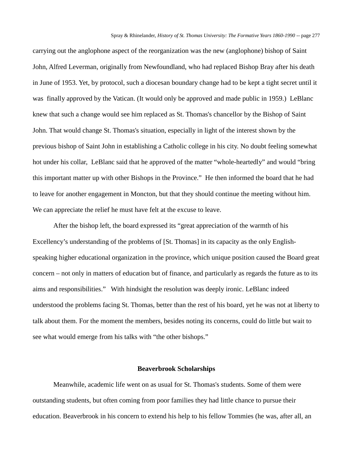carrying out the anglophone aspect of the reorganization was the new (anglophone) bishop of Saint John, Alfred Leverman, originally from Newfoundland, who had replaced Bishop Bray after his death in June of 1953. Yet, by protocol, such a diocesan boundary change had to be kept a tight secret until it was finally approved by the Vatican. (It would only be approved and made public in 1959.) LeBlanc knew that such a change would see him replaced as St. Thomas's chancellor by the Bishop of Saint John. That would change St. Thomas's situation, especially in light of the interest shown by the previous bishop of Saint John in establishing a Catholic college in his city. No doubt feeling somewhat hot under his collar, LeBlanc said that he approved of the matter "whole-heartedly" and would "bring this important matter up with other Bishops in the Province." He then informed the board that he had to leave for another engagement in Moncton, but that they should continue the meeting without him. We can appreciate the relief he must have felt at the excuse to leave.

After the bishop left, the board expressed its "great appreciation of the warmth of his Excellency's understanding of the problems of [St. Thomas] in its capacity as the only Englishspeaking higher educational organization in the province, which unique position caused the Board great concern – not only in matters of education but of finance, and particularly as regards the future as to its aims and responsibilities." With hindsight the resolution was deeply ironic. LeBlanc indeed understood the problems facing St. Thomas, better than the rest of his board, yet he was not at liberty to talk about them. For the moment the members, besides noting its concerns, could do little but wait to see what would emerge from his talks with "the other bishops."

## **Beaverbrook Scholarships**

Meanwhile, academic life went on as usual for St. Thomas's students. Some of them were outstanding students, but often coming from poor families they had little chance to pursue their education. Beaverbrook in his concern to extend his help to his fellow Tommies (he was, after all, an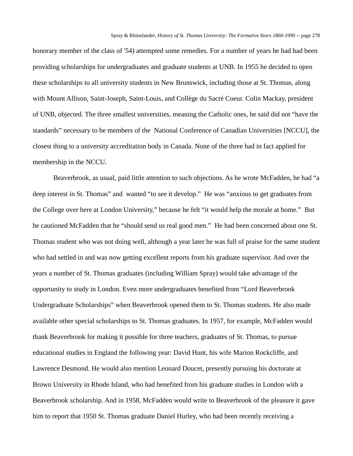honorary member of the class of '54) attempted some remedies. For a number of years he had had been providing scholarships for undergraduates and graduate students at UNB. In 1955 he decided to open these scholarships to all university students in New Brunswick, including those at St. Thomas, along with Mount Allison, Saint-Joseph, Saint-Louis, and Collège du Sacré Coeur. Colin Mackay, president of UNB, objected. The three smallest universities, meaning the Catholic ones, he said did not "have the standards" necessary to be members of the National Conference of Canadian Universities [NCCU], the closest thing to a university accreditation body in Canada. None of the three had in fact applied for membership in the NCCU.

Beaverbrook, as usual, paid little attention to such objections. As he wrote McFadden, he had "a deep interest in St. Thomas" and wanted "to see it develop." He was "anxious to get graduates from the College over here at London University," because he felt "it would help the morale at home." But he cautioned McFadden that he "should send us real good men." He had been concerned about one St. Thomas student who was not doing well, although a year later he was full of praise for the same student who had settled in and was now getting excellent reports from his graduate supervisor. And over the years a number of St. Thomas graduates (including William Spray) would take advantage of the opportunity to study in London. Even more undergraduates benefited from "Lord Beaverbrook Undergraduate Scholarships" when Beaverbrook opened them to St. Thomas students. He also made available other special scholarships to St. Thomas graduates. In 1957, for example, McFadden would thank Beaverbrook for making it possible for three teachers, graduates of St. Thomas, to pursue educational studies in England the following year: David Hunt, his wife Marion Rockcliffe, and Lawrence Desmond. He would also mention Leonard Doucet, presently pursuing his doctorate at Brown University in Rhode Island, who had benefited from his graduate studies in London with a Beaverbrook scholarship. And in 1958, McFadden would write to Beaverbrook of the pleasure it gave him to report that 1950 St. Thomas graduate Daniel Hurley, who had been recently receiving a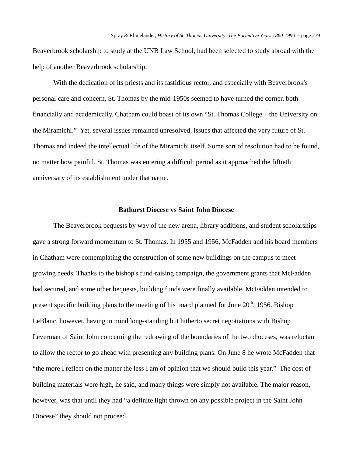Beaverbrook scholarship to study at the UNB Law School, had been selected to study abroad with the help of another Beaverbrook scholarship.

With the dedication of its priests and its fastidious rector, and especially with Beaverbrook's personal care and concern, St. Thomas by the mid-1950s seemed to have turned the corner, both financially and academically. Chatham could boast of its own "St. Thomas College – the University on the Miramichi." Yet, several issues remained unresolved, issues that affected the very future of St. Thomas and indeed the intellectual life of the Miramichi itself. Some sort of resolution had to be found, no matter how painful. St. Thomas was entering a difficult period as it approached the fiftieth anniversary of its establishment under that name.

## **Bathurst Diocese vs Saint John Diocese**

The Beaverbrook bequests by way of the new arena, library additions, and student scholarships gave a strong forward momentum to St. Thomas. In 1955 and 1956, McFadden and his board members in Chatham were contemplating the construction of some new buildings on the campus to meet growing needs. Thanks to the bishop's fund-raising campaign, the government grants that McFadden had secured, and some other bequests, building funds were finally available. McFadden intended to present specific building plans to the meeting of his board planned for June  $20<sup>th</sup>$ , 1956. Bishop LeBlanc, however, having in mind long-standing but hitherto secret negotiations with Bishop Leverman of Saint John concerning the redrawing of the boundaries of the two dioceses, was reluctant to allow the rector to go ahead with presenting any building plans. On June 8 he wrote McFadden that "the more I reflect on the matter the less I am of opinion that we should build this year." The cost of building materials were high, he said, and many things were simply not available. The major reason, however, was that until they had "a definite light thrown on any possible project in the Saint John Diocese" they should not proceed.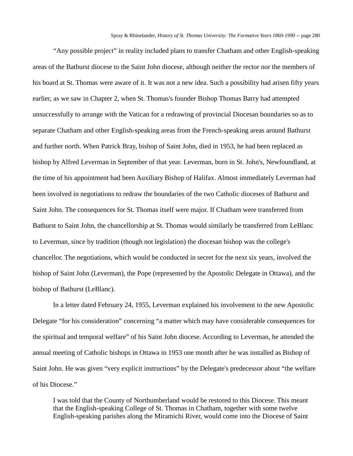"Any possible project" in reality included plans to transfer Chatham and other English-speaking areas of the Bathurst diocese to the Saint John diocese, although neither the rector nor the members of his board at St. Thomas were aware of it. It was not a new idea. Such a possibility had arisen fifty years earlier, as we saw in Chapter 2, when St. Thomas's founder Bishop Thomas Barry had attempted unsuccessfully to arrange with the Vatican for a redrawing of provincial Diocesan boundaries so as to separate Chatham and other English-speaking areas from the French-speaking areas around Bathurst and further north. When Patrick Bray, bishop of Saint John, died in 1953, he had been replaced as bishop by Alfred Leverman in September of that year. Leverman, born in St. John's, Newfoundland, at the time of his appointment had been Auxiliary Bishop of Halifax. Almost immediately Leverman had been involved in negotiations to redraw the boundaries of the two Catholic dioceses of Bathurst and Saint John. The consequences for St. Thomas itself were major. If Chatham were transferred from Bathurst to Saint John, the chancellorship at St. Thomas would similarly be transferred from LeBlanc to Leverman, since by tradition (though not legislation) the diocesan bishop was the college's chancellor. The negotiations, which would be conducted in secret for the next six years, involved the bishop of Saint John (Leverman), the Pope (represented by the Apostolic Delegate in Ottawa), and the bishop of Bathurst (LeBlanc).

In a letter dated February 24, 1955, Leverman explained his involvement to the new Apostolic Delegate "for his consideration" concerning "a matter which may have considerable consequences for the spiritual and temporal welfare" of his Saint John diocese. According to Leverman, he attended the annual meeting of Catholic bishops in Ottawa in 1953 one month after he was installed as Bishop of Saint John. He was given "very explicit instructions" by the Delegate's predecessor about "the welfare of his Diocese."

I was told that the County of Northumberland would be restored to this Diocese. This meant that the English-speaking College of St. Thomas in Chatham, together with some twelve English-speaking parishes along the Miramichi River, would come into the Diocese of Saint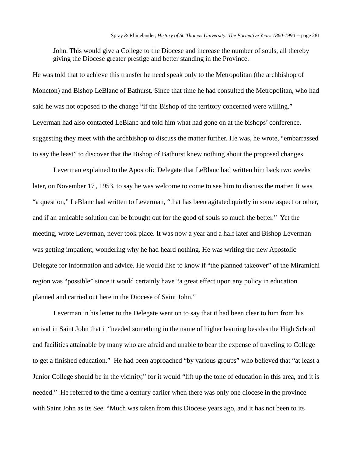John. This would give a College to the Diocese and increase the number of souls, all thereby giving the Diocese greater prestige and better standing in the Province.

He was told that to achieve this transfer he need speak only to the Metropolitan (the archbishop of Moncton) and Bishop LeBlanc of Bathurst. Since that time he had consulted the Metropolitan, who had said he was not opposed to the change "if the Bishop of the territory concerned were willing." Leverman had also contacted LeBlanc and told him what had gone on at the bishops' conference, suggesting they meet with the archbishop to discuss the matter further. He was, he wrote, "embarrassed to say the least" to discover that the Bishop of Bathurst knew nothing about the proposed changes.

Leverman explained to the Apostolic Delegate that LeBlanc had written him back two weeks later, on November 17 , 1953, to say he was welcome to come to see him to discuss the matter. It was "a question," LeBlanc had written to Leverman, "that has been agitated quietly in some aspect or other, and if an amicable solution can be brought out for the good of souls so much the better." Yet the meeting, wrote Leverman, never took place. It was now a year and a half later and Bishop Leverman was getting impatient, wondering why he had heard nothing. He was writing the new Apostolic Delegate for information and advice. He would like to know if "the planned takeover" of the Miramichi region was "possible" since it would certainly have "a great effect upon any policy in education planned and carried out here in the Diocese of Saint John."

Leverman in his letter to the Delegate went on to say that it had been clear to him from his arrival in Saint John that it "needed something in the name of higher learning besides the High School and facilities attainable by many who are afraid and unable to bear the expense of traveling to College to get a finished education." He had been approached "by various groups" who believed that "at least a Junior College should be in the vicinity," for it would "lift up the tone of education in this area, and it is needed." He referred to the time a century earlier when there was only one diocese in the province with Saint John as its See. "Much was taken from this Diocese years ago, and it has not been to its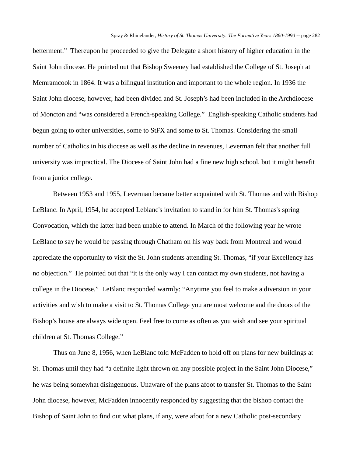betterment." Thereupon he proceeded to give the Delegate a short history of higher education in the Saint John diocese. He pointed out that Bishop Sweeney had established the College of St. Joseph at Memramcook in 1864. It was a bilingual institution and important to the whole region. In 1936 the Saint John diocese, however, had been divided and St. Joseph's had been included in the Archdiocese of Moncton and "was considered a French-speaking College." English-speaking Catholic students had begun going to other universities, some to StFX and some to St. Thomas. Considering the small number of Catholics in his diocese as well as the decline in revenues, Leverman felt that another full university was impractical. The Diocese of Saint John had a fine new high school, but it might benefit from a junior college.

Between 1953 and 1955, Leverman became better acquainted with St. Thomas and with Bishop LeBlanc. In April, 1954, he accepted Leblanc's invitation to stand in for him St. Thomas's spring Convocation, which the latter had been unable to attend. In March of the following year he wrote LeBlanc to say he would be passing through Chatham on his way back from Montreal and would appreciate the opportunity to visit the St. John students attending St. Thomas, "if your Excellency has no objection." He pointed out that "it is the only way I can contact my own students, not having a college in the Diocese." LeBlanc responded warmly: "Anytime you feel to make a diversion in your activities and wish to make a visit to St. Thomas College you are most welcome and the doors of the Bishop's house are always wide open. Feel free to come as often as you wish and see your spiritual children at St. Thomas College."

Thus on June 8, 1956, when LeBlanc told McFadden to hold off on plans for new buildings at St. Thomas until they had "a definite light thrown on any possible project in the Saint John Diocese," he was being somewhat disingenuous. Unaware of the plans afoot to transfer St. Thomas to the Saint John diocese, however, McFadden innocently responded by suggesting that the bishop contact the Bishop of Saint John to find out what plans, if any, were afoot for a new Catholic post-secondary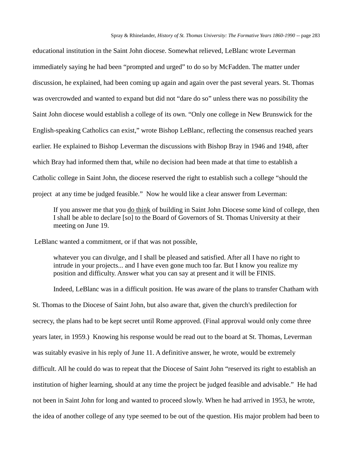educational institution in the Saint John diocese. Somewhat relieved, LeBlanc wrote Leverman immediately saying he had been "prompted and urged" to do so by McFadden. The matter under discussion, he explained, had been coming up again and again over the past several years. St. Thomas was overcrowded and wanted to expand but did not "dare do so" unless there was no possibility the Saint John diocese would establish a college of its own. "Only one college in New Brunswick for the English-speaking Catholics can exist," wrote Bishop LeBlanc, reflecting the consensus reached years earlier. He explained to Bishop Leverman the discussions with Bishop Bray in 1946 and 1948, after which Bray had informed them that, while no decision had been made at that time to establish a Catholic college in Saint John, the diocese reserved the right to establish such a college "should the project at any time be judged feasible." Now he would like a clear answer from Leverman:

If you answer me that you do think of building in Saint John Diocese some kind of college, then I shall be able to declare [so] to the Board of Governors of St. Thomas University at their meeting on June 19.

LeBlanc wanted a commitment, or if that was not possible,

whatever you can divulge, and I shall be pleased and satisfied. After all I have no right to intrude in your projects... and I have even gone much too far. But I know you realize my position and difficulty. Answer what you can say at present and it will be FINIS.

Indeed, LeBlanc was in a difficult position. He was aware of the plans to transfer Chatham with St. Thomas to the Diocese of Saint John, but also aware that, given the church's predilection for secrecy, the plans had to be kept secret until Rome approved. (Final approval would only come three years later, in 1959.) Knowing his response would be read out to the board at St. Thomas, Leverman was suitably evasive in his reply of June 11. A definitive answer, he wrote, would be extremely difficult. All he could do was to repeat that the Diocese of Saint John "reserved its right to establish an institution of higher learning, should at any time the project be judged feasible and advisable." He had not been in Saint John for long and wanted to proceed slowly. When he had arrived in 1953, he wrote, the idea of another college of any type seemed to be out of the question. His major problem had been to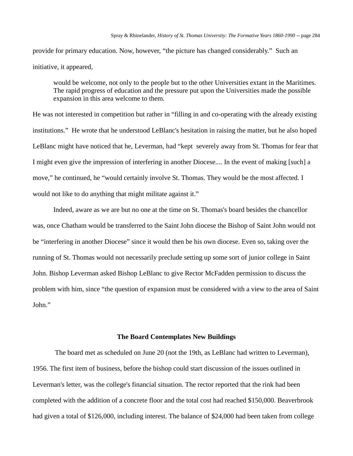provide for primary education. Now, however, "the picture has changed considerably." Such an initiative, it appeared,

would be welcome, not only to the people but to the other Universities extant in the Maritimes. The rapid progress of education and the pressure put upon the Universities made the possible expansion in this area welcome to them.

He was not interested in competition but rather in "filling in and co-operating with the already existing institutions." He wrote that he understood LeBlanc's hesitation in raising the matter, but he also hoped LeBlanc might have noticed that he, Leverman, had "kept severely away from St. Thomas for fear that I might even give the impression of interfering in another Diocese.... In the event of making [such] a move," he continued, he "would certainly involve St. Thomas. They would be the most affected. I would not like to do anything that might militate against it."

Indeed, aware as we are but no one at the time on St. Thomas's board besides the chancellor was, once Chatham would be transferred to the Saint John diocese the Bishop of Saint John would not be "interfering in another Diocese" since it would then be his own diocese. Even so, taking over the running of St. Thomas would not necessarily preclude setting up some sort of junior college in Saint John. Bishop Leverman asked Bishop LeBlanc to give Rector McFadden permission to discuss the problem with him, since "the question of expansion must be considered with a view to the area of Saint John."

### **The Board Contemplates New Buildings**

The board met as scheduled on June 20 (not the 19th, as LeBlanc had written to Leverman), 1956. The first item of business, before the bishop could start discussion of the issues outlined in Leverman's letter, was the college's financial situation. The rector reported that the rink had been completed with the addition of a concrete floor and the total cost had reached \$150,000. Beaverbrook had given a total of \$126,000, including interest. The balance of \$24,000 had been taken from college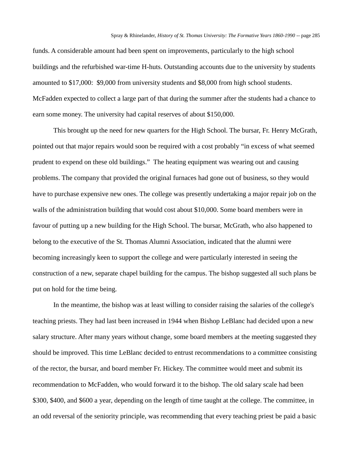funds. A considerable amount had been spent on improvements, particularly to the high school buildings and the refurbished war-time H-huts. Outstanding accounts due to the university by students amounted to \$17,000: \$9,000 from university students and \$8,000 from high school students. McFadden expected to collect a large part of that during the summer after the students had a chance to earn some money. The university had capital reserves of about \$150,000.

This brought up the need for new quarters for the High School. The bursar, Fr. Henry McGrath, pointed out that major repairs would soon be required with a cost probably "in excess of what seemed prudent to expend on these old buildings." The heating equipment was wearing out and causing problems. The company that provided the original furnaces had gone out of business, so they would have to purchase expensive new ones. The college was presently undertaking a major repair job on the walls of the administration building that would cost about \$10,000. Some board members were in favour of putting up a new building for the High School. The bursar, McGrath, who also happened to belong to the executive of the St. Thomas Alumni Association, indicated that the alumni were becoming increasingly keen to support the college and were particularly interested in seeing the construction of a new, separate chapel building for the campus. The bishop suggested all such plans be put on hold for the time being.

In the meantime, the bishop was at least willing to consider raising the salaries of the college's teaching priests. They had last been increased in 1944 when Bishop LeBlanc had decided upon a new salary structure. After many years without change, some board members at the meeting suggested they should be improved. This time LeBlanc decided to entrust recommendations to a committee consisting of the rector, the bursar, and board member Fr. Hickey. The committee would meet and submit its recommendation to McFadden, who would forward it to the bishop. The old salary scale had been \$300, \$400, and \$600 a year, depending on the length of time taught at the college. The committee, in an odd reversal of the seniority principle, was recommending that every teaching priest be paid a basic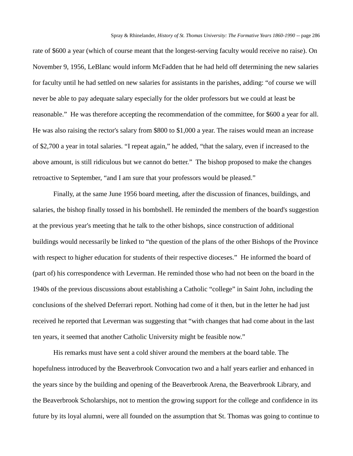rate of \$600 a year (which of course meant that the longest-serving faculty would receive no raise). On November 9, 1956, LeBlanc would inform McFadden that he had held off determining the new salaries for faculty until he had settled on new salaries for assistants in the parishes, adding: "of course we will never be able to pay adequate salary especially for the older professors but we could at least be reasonable." He was therefore accepting the recommendation of the committee, for \$600 a year for all. He was also raising the rector's salary from \$800 to \$1,000 a year. The raises would mean an increase of \$2,700 a year in total salaries. "I repeat again," he added, "that the salary, even if increased to the above amount, is still ridiculous but we cannot do better." The bishop proposed to make the changes retroactive to September, "and I am sure that your professors would be pleased."

Finally, at the same June 1956 board meeting, after the discussion of finances, buildings, and salaries, the bishop finally tossed in his bombshell. He reminded the members of the board's suggestion at the previous year's meeting that he talk to the other bishops, since construction of additional buildings would necessarily be linked to "the question of the plans of the other Bishops of the Province with respect to higher education for students of their respective dioceses." He informed the board of (part of) his correspondence with Leverman. He reminded those who had not been on the board in the 1940s of the previous discussions about establishing a Catholic "college" in Saint John, including the conclusions of the shelved Deferrari report. Nothing had come of it then, but in the letter he had just received he reported that Leverman was suggesting that "with changes that had come about in the last ten years, it seemed that another Catholic University might be feasible now."

His remarks must have sent a cold shiver around the members at the board table. The hopefulness introduced by the Beaverbrook Convocation two and a half years earlier and enhanced in the years since by the building and opening of the Beaverbrook Arena, the Beaverbrook Library, and the Beaverbrook Scholarships, not to mention the growing support for the college and confidence in its future by its loyal alumni, were all founded on the assumption that St. Thomas was going to continue to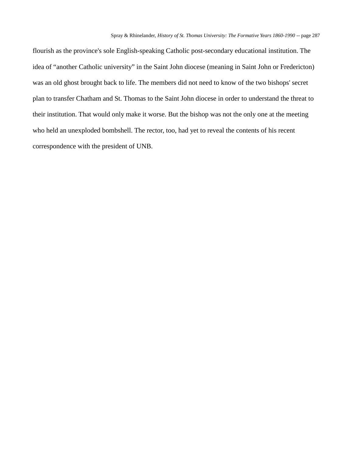flourish as the province's sole English-speaking Catholic post-secondary educational institution. The idea of "another Catholic university" in the Saint John diocese (meaning in Saint John or Fredericton) was an old ghost brought back to life. The members did not need to know of the two bishops' secret plan to transfer Chatham and St. Thomas to the Saint John diocese in order to understand the threat to their institution. That would only make it worse. But the bishop was not the only one at the meeting who held an unexploded bombshell. The rector, too, had yet to reveal the contents of his recent correspondence with the president of UNB.